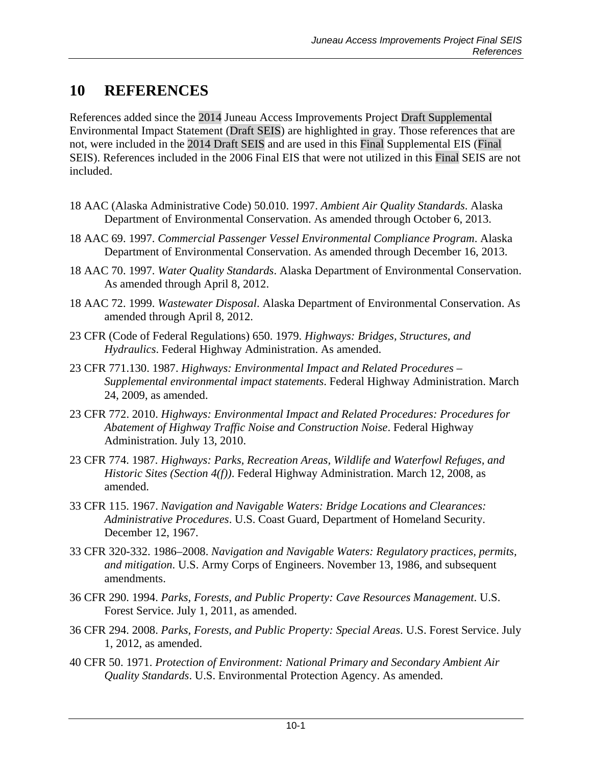## **10 REFERENCES**

References added since the 2014 Juneau Access Improvements Project Draft Supplemental Environmental Impact Statement (Draft SEIS) are highlighted in gray. Those references that are not, were included in the 2014 Draft SEIS and are used in this Final Supplemental EIS (Final SEIS). References included in the 2006 Final EIS that were not utilized in this Final SEIS are not included.

- 18 AAC (Alaska Administrative Code) 50.010. 1997. *Ambient Air Quality Standards*. Alaska Department of Environmental Conservation. As amended through October 6, 2013.
- 18 AAC 69. 1997. *Commercial Passenger Vessel Environmental Compliance Program*. Alaska Department of Environmental Conservation. As amended through December 16, 2013.
- 18 AAC 70. 1997. *Water Quality Standards*. Alaska Department of Environmental Conservation. As amended through April 8, 2012.
- 18 AAC 72. 1999. *Wastewater Disposal*. Alaska Department of Environmental Conservation. As amended through April 8, 2012.
- 23 CFR (Code of Federal Regulations) 650. 1979. *Highways: Bridges, Structures, and Hydraulics*. Federal Highway Administration. As amended.
- 23 CFR 771.130. 1987. *Highways: Environmental Impact and Related Procedures – Supplemental environmental impact statements*. Federal Highway Administration. March 24, 2009, as amended.
- 23 CFR 772. 2010. *Highways: Environmental Impact and Related Procedures: Procedures for Abatement of Highway Traffic Noise and Construction Noise*. Federal Highway Administration. July 13, 2010.
- 23 CFR 774. 1987*. Highways: Parks, Recreation Areas, Wildlife and Waterfowl Refuges, and Historic Sites (Section 4(f))*. Federal Highway Administration. March 12, 2008, as amended.
- 33 CFR 115. 1967. *Navigation and Navigable Waters: Bridge Locations and Clearances: Administrative Procedures*. U.S. Coast Guard, Department of Homeland Security. December 12, 1967.
- 33 CFR 320-332. 1986–2008. *Navigation and Navigable Waters: Regulatory practices, permits, and mitigation*. U.S. Army Corps of Engineers. November 13, 1986, and subsequent amendments.
- 36 CFR 290. 1994. *Parks, Forests, and Public Property: Cave Resources Management*. U.S. Forest Service. July 1, 2011, as amended.
- 36 CFR 294. 2008. *Parks, Forests, and Public Property: Special Areas*. U.S. Forest Service. July 1, 2012, as amended.
- 40 CFR 50. 1971. *Protection of Environment: National Primary and Secondary Ambient Air Quality Standards*. U.S. Environmental Protection Agency. As amended.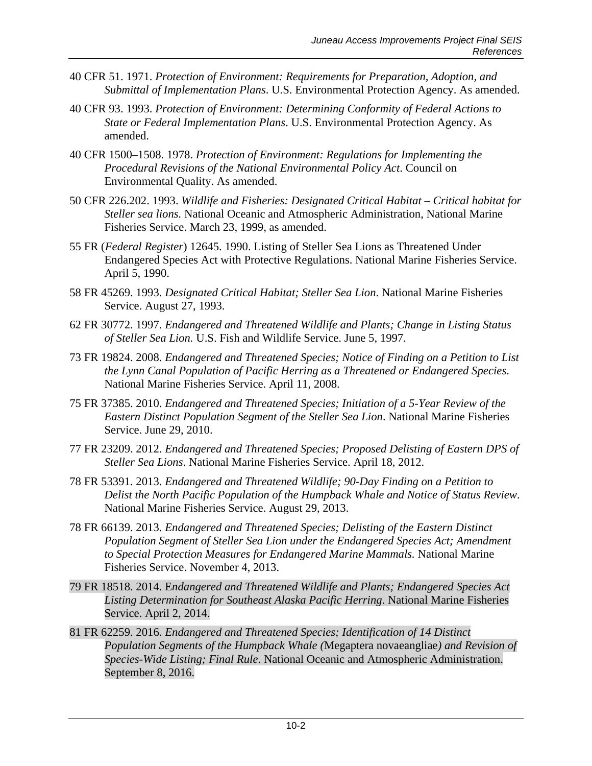- 40 CFR 51. 1971. *Protection of Environment: Requirements for Preparation, Adoption, and Submittal of Implementation Plans*. U.S. Environmental Protection Agency. As amended.
- 40 CFR 93. 1993. *Protection of Environment: Determining Conformity of Federal Actions to State or Federal Implementation Plans*. U.S. Environmental Protection Agency. As amended.
- 40 CFR 1500–1508. 1978. *Protection of Environment: Regulations for Implementing the Procedural Revisions of the National Environmental Policy Act*. Council on Environmental Quality. As amended.
- 50 CFR 226.202. 1993. *Wildlife and Fisheries: Designated Critical Habitat – Critical habitat for Steller sea lions.* National Oceanic and Atmospheric Administration, National Marine Fisheries Service. March 23, 1999, as amended.
- 55 FR (*Federal Register*) 12645. 1990. Listing of Steller Sea Lions as Threatened Under Endangered Species Act with Protective Regulations. National Marine Fisheries Service. April 5, 1990.
- 58 FR 45269. 1993. *Designated Critical Habitat; Steller Sea Lion*. National Marine Fisheries Service. August 27, 1993.
- 62 FR 30772. 1997. *Endangered and Threatened Wildlife and Plants; Change in Listing Status of Steller Sea Lion.* U.S. Fish and Wildlife Service. June 5, 1997.
- 73 FR 19824. 2008. *Endangered and Threatened Species; Notice of Finding on a Petition to List the Lynn Canal Population of Pacific Herring as a Threatened or Endangered Species*. National Marine Fisheries Service. April 11, 2008.
- 75 FR 37385. 2010. *Endangered and Threatened Species; Initiation of a 5-Year Review of the Eastern Distinct Population Segment of the Steller Sea Lion*. National Marine Fisheries Service. June 29, 2010.
- 77 FR 23209. 2012. *Endangered and Threatened Species; Proposed Delisting of Eastern DPS of Steller Sea Lions*. National Marine Fisheries Service. April 18, 2012.
- 78 FR 53391. 2013. *Endangered and Threatened Wildlife; 90-Day Finding on a Petition to Delist the North Pacific Population of the Humpback Whale and Notice of Status Review*. National Marine Fisheries Service. August 29, 2013.
- 78 FR 66139. 2013. *Endangered and Threatened Species; Delisting of the Eastern Distinct Population Segment of Steller Sea Lion under the Endangered Species Act; Amendment to Special Protection Measures for Endangered Marine Mammals.* National Marine Fisheries Service. November 4, 2013.
- 79 FR 18518. 2014. E*ndangered and Threatened Wildlife and Plants; Endangered Species Act Listing Determination for Southeast Alaska Pacific Herring*. National Marine Fisheries Service. April 2, 2014.
- 81 FR 62259. 2016. *Endangered and Threatened Species; Identification of 14 Distinct Population Segments of the Humpback Whale (*Megaptera novaeangliae*) and Revision of Species-Wide Listing; Final Rule*. National Oceanic and Atmospheric Administration. September 8, 2016.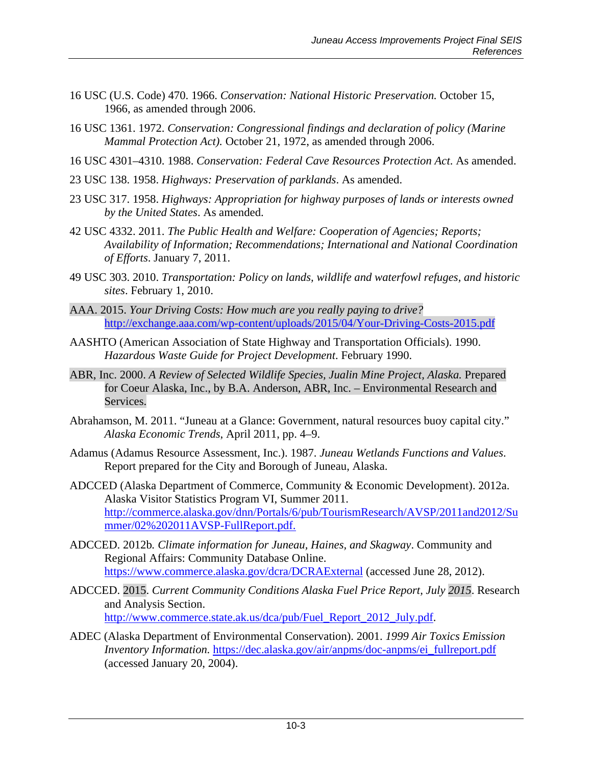- 16 USC (U.S. Code) 470. 1966. *Conservation: National Historic Preservation.* October 15, 1966, as amended through 2006.
- 16 USC 1361. 1972. *Conservation: Congressional findings and declaration of policy (Marine Mammal Protection Act).* October 21, 1972, as amended through 2006.
- 16 USC 4301–4310. 1988. *Conservation: Federal Cave Resources Protection Act*. As amended.
- 23 USC 138. 1958. *Highways: Preservation of parklands*. As amended.
- 23 USC 317. 1958. *Highways: Appropriation for highway purposes of lands or interests owned by the United States*. As amended.
- 42 USC 4332. 2011. *The Public Health and Welfare: Cooperation of Agencies; Reports; Availability of Information; Recommendations; International and National Coordination of Efforts*. January 7, 2011.
- 49 USC 303. 2010. *Transportation: Policy on lands, wildlife and waterfowl refuges, and historic sites*. February 1, 2010.
- AAA. 2015. *Your Driving Costs: How much are you really paying to drive?*  <http://exchange.aaa.com/wp-content/uploads/2015/04/Your-Driving-Costs-2015.pdf>
- AASHTO (American Association of State Highway and Transportation Officials). 1990. *Hazardous Waste Guide for Project Development*. February 1990.
- ABR, Inc. 2000. *A Review of Selected Wildlife Species, Jualin Mine Project, Alaska.* Prepared for Coeur Alaska, Inc., by B.A. Anderson, ABR, Inc. – Environmental Research and Services.
- Abrahamson, M. 2011. "Juneau at a Glance: Government, natural resources buoy capital city." *Alaska Economic Trends*, April 2011, pp. 4–9.
- Adamus (Adamus Resource Assessment, Inc.). 1987. *Juneau Wetlands Functions and Values*. Report prepared for the City and Borough of Juneau, Alaska.
- ADCCED (Alaska Department of Commerce, Community & Economic Development). 2012a. Alaska Visitor Statistics Program VI, Summer 2011. [http://commerce.alaska.gov/dnn/Portals/6/pub/TourismResearch/AVSP/2011and2012/Su](http://commerce.alaska.gov/dnn/Portals/6/pub/TourismResearch/AVSP/2011and2012/Summer/02%202011AVSP-FullReport.pdf) [mmer/02%202011AVSP-FullReport.pdf.](http://commerce.alaska.gov/dnn/Portals/6/pub/TourismResearch/AVSP/2011and2012/Summer/02%202011AVSP-FullReport.pdf)
- ADCCED. 2012b*. Climate information for Juneau, Haines, and Skagway*. Community and Regional Affairs: Community Database Online. <https://www.commerce.alaska.gov/dcra/DCRAExternal> (accessed June 28, 2012).
- ADCCED. 2015. *Current Community Conditions Alaska Fuel Price Report, July 2015*. Research and Analysis Section. [http://www.commerce.state.ak.us/dca/pub/Fuel\\_Report\\_2012\\_July.pdf.](http://www.commerce.state.ak.us/dca/pub/Fuel_Report_2012_July.pdf)
- ADEC (Alaska Department of Environmental Conservation). 2001. *1999 Air Toxics Emission Inventory Information.* https://dec.alaska.gov/air/anpms/doc-anpms/ei\_fullreport.pdf (accessed January 20, 2004).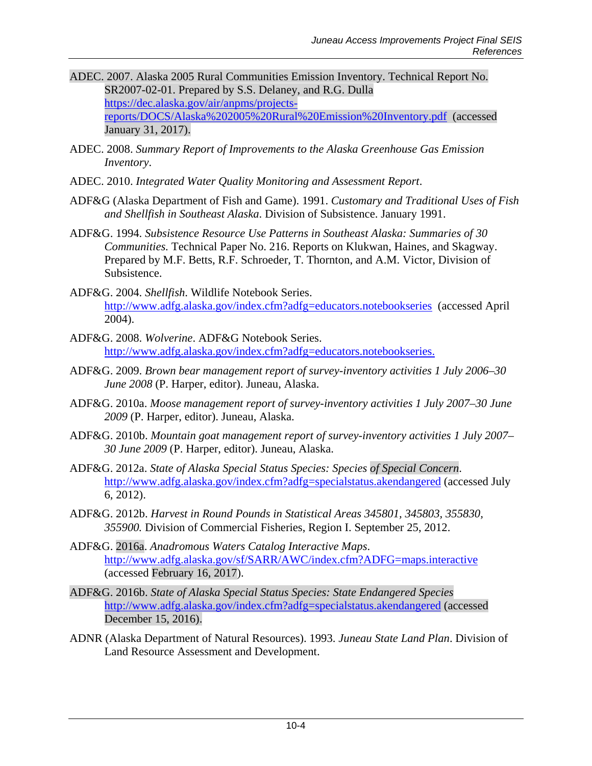- ADEC. 2007. Alaska 2005 Rural Communities Emission Inventory. Technical Report No. SR2007-02-01. Prepared by S.S. Delaney, and R.G. Dulla [https://dec.alaska.gov/air/anpms/projects](https://dec.alaska.gov/air/anpms/projects-reports/DOCS/Alaska%202005%20Rural%20Emission%20Inventory.pdf)[reports/DOCS/Alaska%202005%20Rural%20Emission%20Inventory.pdf](https://dec.alaska.gov/air/anpms/projects-reports/DOCS/Alaska%202005%20Rural%20Emission%20Inventory.pdf) (accessed January 31, 2017).
- ADEC. 2008. *Summary Report of Improvements to the Alaska Greenhouse Gas Emission Inventory*.
- ADEC. 2010. *Integrated Water Quality Monitoring and Assessment Report*.
- ADF&G (Alaska Department of Fish and Game). 1991. *Customary and Traditional Uses of Fish and Shellfish in Southeast Alaska*. Division of Subsistence. January 1991.
- ADF&G. 1994. *Subsistence Resource Use Patterns in Southeast Alaska: Summaries of 30 Communities.* Technical Paper No. 216. Reports on Klukwan, Haines, and Skagway. Prepared by M.F. Betts, R.F. Schroeder, T. Thornton, and A.M. Victor, Division of Subsistence.
- ADF&G. 2004. *Shellfish*. Wildlife Notebook Series. <http://www.adfg.alaska.gov/index.cfm?adfg=educators.notebookseries>(accessed April 2004).
- ADF&G. 2008. *Wolverine*. ADF&G Notebook Series. [http://www.adfg.alaska.gov/index.cfm?adfg=educators.notebookseries.](http://www.adfg.alaska.gov/index.cfm?adfg=educators.notebookseries)
- ADF&G. 2009. *Brown bear management report of survey-inventory activities 1 July 2006–30 June 2008* (P. Harper, editor). Juneau, Alaska.
- ADF&G. 2010a. *Moose management report of survey-inventory activities 1 July 2007–30 June 2009* (P. Harper, editor). Juneau, Alaska.
- ADF&G. 2010b. *Mountain goat management report of survey-inventory activities 1 July 2007– 30 June 2009* (P. Harper, editor). Juneau, Alaska.
- ADF&G. 2012a. *State of Alaska Special Status Species: Species of Special Concern*. <http://www.adfg.alaska.gov/index.cfm?adfg=specialstatus.akendangered> (accessed July 6, 2012).
- ADF&G. 2012b. *Harvest in Round Pounds in Statistical Areas 345801, 345803, 355830, 355900.* Division of Commercial Fisheries, Region I. September 25, 2012.
- ADF&G. 2016a. *Anadromous Waters Catalog Interactive Maps*. <http://www.adfg.alaska.gov/sf/SARR/AWC/index.cfm?ADFG=maps.interactive> (accessed February 16, 2017).
- ADF&G. 2016b. *State of Alaska Special Status Species: State Endangered Species* <http://www.adfg.alaska.gov/index.cfm?adfg=specialstatus.akendangered> (accessed December 15, 2016).
- ADNR (Alaska Department of Natural Resources). 1993. *Juneau State Land Plan*. Division of Land Resource Assessment and Development.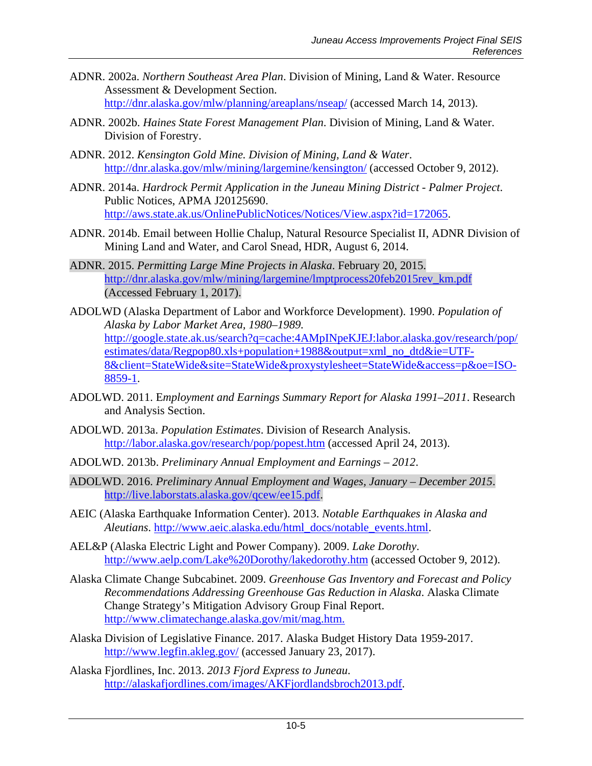- ADNR. 2002a. *Northern Southeast Area Plan*. Division of Mining, Land & Water. Resource Assessment & Development Section. <http://dnr.alaska.gov/mlw/planning/areaplans/nseap/> (accessed March 14, 2013).
- ADNR. 2002b. *Haines State Forest Management Plan*. Division of Mining, Land & Water. Division of Forestry.
- ADNR. 2012. *Kensington Gold Mine. Division of Mining, Land & Water*. <http://dnr.alaska.gov/mlw/mining/largemine/kensington/> (accessed October 9, 2012).
- ADNR. 2014a. *Hardrock Permit Application in the Juneau Mining District - Palmer Project*. Public Notices, APMA J20125690. [http://aws.state.ak.us/OnlinePublicNotices/Notices/View.aspx?id=172065.](http://aws.state.ak.us/OnlinePublicNotices/Notices/View.aspx?id=172065)
- ADNR. 2014b. Email between Hollie Chalup, Natural Resource Specialist II, ADNR Division of Mining Land and Water, and Carol Snead, HDR, August 6, 2014.
- ADNR. 2015. *Permitting Large Mine Projects in Alaska*. February 20, 2015. [http://dnr.alaska.gov/mlw/mining/largemine/lmptprocess20feb2015rev\\_km.pdf](http://dnr.alaska.gov/mlw/mining/largemine/lmptprocess20feb2015rev_km.pdf) (Accessed February 1, 2017).
- ADOLWD (Alaska Department of Labor and Workforce Development). 1990. *Population of Alaska by Labor Market Area, 1980–1989.*  [http://google.state.ak.us/search?q=cache:4AMpINpeKJEJ:labor.alaska.gov/research/pop/](http://google.state.ak.us/search?q=cache:4AMpINpeKJEJ:labor.alaska.gov/research/pop/estimates/data/Regpop80.xls+population+1988&output=xml_no_dtd&ie=UTF-8&client=StateWide&site=StateWide&proxystylesheet=StateWide&access=p&oe=ISO-8859-1) [estimates/data/Regpop80.xls+population+1988&output=xml\\_no\\_dtd&ie=UTF-](http://google.state.ak.us/search?q=cache:4AMpINpeKJEJ:labor.alaska.gov/research/pop/estimates/data/Regpop80.xls+population+1988&output=xml_no_dtd&ie=UTF-8&client=StateWide&site=StateWide&proxystylesheet=StateWide&access=p&oe=ISO-8859-1)[8&client=StateWide&site=StateWide&proxystylesheet=StateWide&access=p&oe=ISO-](http://google.state.ak.us/search?q=cache:4AMpINpeKJEJ:labor.alaska.gov/research/pop/estimates/data/Regpop80.xls+population+1988&output=xml_no_dtd&ie=UTF-8&client=StateWide&site=StateWide&proxystylesheet=StateWide&access=p&oe=ISO-8859-1)[8859-1.](http://google.state.ak.us/search?q=cache:4AMpINpeKJEJ:labor.alaska.gov/research/pop/estimates/data/Regpop80.xls+population+1988&output=xml_no_dtd&ie=UTF-8&client=StateWide&site=StateWide&proxystylesheet=StateWide&access=p&oe=ISO-8859-1)
- ADOLWD. 2011. E*mployment and Earnings Summary Report for Alaska 1991–2011*. Research and Analysis Section.
- ADOLWD. 2013a. *Population Estimates*. Division of Research Analysis. <http://labor.alaska.gov/research/pop/popest.htm> (accessed April 24, 2013).
- ADOLWD. 2013b. *Preliminary Annual Employment and Earnings – 2012*.
- ADOLWD. 2016. *Preliminary Annual Employment and Wages, January – December 2015*. [http://live.laborstats.alaska.gov/qcew/ee15.pdf.](http://live.laborstats.alaska.gov/qcew/ee15.pdf)
- AEIC (Alaska Earthquake Information Center). 2013. *Notable Earthquakes in Alaska and Aleutians*. [http://www.aeic.alaska.edu/html\\_docs/notable\\_events.html.](http://www.aeic.alaska.edu/html_docs/notable_events.html)
- AEL&P (Alaska Electric Light and Power Company). 2009. *Lake Dorothy*. <http://www.aelp.com/Lake%20Dorothy/lakedorothy.htm> (accessed October 9, 2012).
- Alaska Climate Change Subcabinet. 2009. *Greenhouse Gas Inventory and Forecast and Policy Recommendations Addressing Greenhouse Gas Reduction in Alaska*. Alaska Climate Change Strategy's Mitigation Advisory Group Final Report. [http://www.climatechange.alaska.gov/mit/mag.htm.](http://www.climatechange.alaska.gov/mit/mag.htm)
- Alaska Division of Legislative Finance. 2017. Alaska Budget History Data 1959-2017. <http://www.legfin.akleg.gov/> (accessed January 23, 2017).
- Alaska Fjordlines, Inc. 2013. *2013 Fjord Express to Juneau*. [http://alaskafjordlines.com/images/AKFjordlandsbroch2013.pdf.](http://alaskafjordlines.com/images/AKFjordlandsbroch2013.pdf)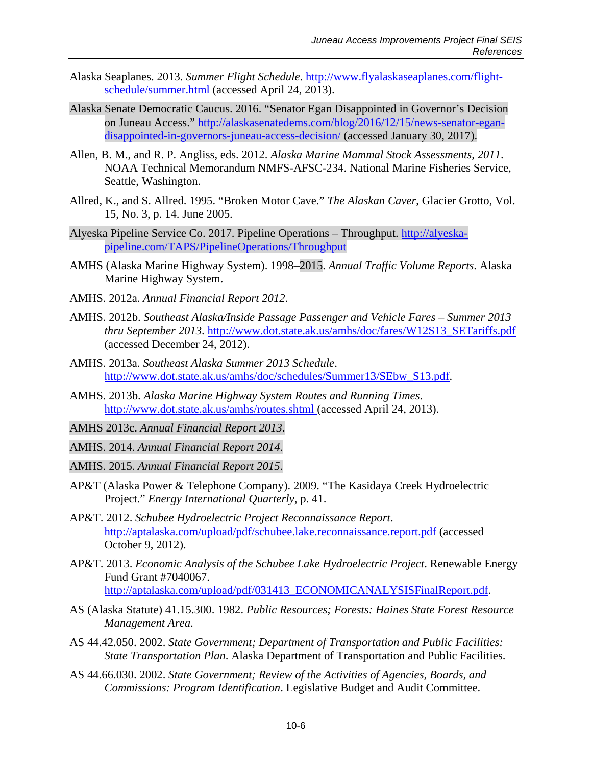- Alaska Seaplanes. 2013. *Summer Flight Schedule*. [http://www.flyalaskaseaplanes.com/flight](http://www.flyalaskaseaplanes.com/flight-schedule/summer.html)[schedule/summer.html](http://www.flyalaskaseaplanes.com/flight-schedule/summer.html) (accessed April 24, 2013).
- Alaska Senate Democratic Caucus. 2016. "Senator Egan Disappointed in Governor's Decision on Juneau Access." [http://alaskasenatedems.com/blog/2016/12/15/news-senator-egan](http://alaskasenatedems.com/blog/2016/12/15/news-senator-egan-disappointed-in-governors-juneau-access-decision/)[disappointed-in-governors-juneau-access-decision/](http://alaskasenatedems.com/blog/2016/12/15/news-senator-egan-disappointed-in-governors-juneau-access-decision/) (accessed January 30, 2017).
- Allen, B. M., and R. P. Angliss, eds. 2012. *Alaska Marine Mammal Stock Assessments, 2011*. NOAA Technical Memorandum NMFS-AFSC-234. National Marine Fisheries Service, Seattle, Washington.
- Allred, K., and S. Allred. 1995. "Broken Motor Cave." *The Alaskan Caver*, Glacier Grotto, Vol. 15, No. 3, p. 14. June 2005.
- Alyeska Pipeline Service Co. 2017. Pipeline Operations Throughput. [http://alyeska](http://alyeska-pipeline.com/TAPS/PipelineOperations/Throughput)[pipeline.com/TAPS/PipelineOperations/Throughput](http://alyeska-pipeline.com/TAPS/PipelineOperations/Throughput)
- AMHS (Alaska Marine Highway System). 1998–2015. *Annual Traffic Volume Reports*. Alaska Marine Highway System.
- AMHS. 2012a. *Annual Financial Report 2012*.
- AMHS. 2012b. *Southeast Alaska/Inside Passage Passenger and Vehicle Fares – Summer 2013 thru September 2013*. [http://www.dot.state.ak.us/amhs/doc/fares/W12S13\\_SETariffs.pdf](http://www.dot.state.ak.us/amhs/doc/fares/W12S13_SETariffs.pdf) (accessed December 24, 2012).
- AMHS. 2013a. *Southeast Alaska Summer 2013 Schedule*. [http://www.dot.state.ak.us/amhs/doc/schedules/Summer13/SEbw\\_S13.pdf.](http://www.dot.state.ak.us/amhs/doc/schedules/Summer13/SEbw_S13.pdf)
- AMHS. 2013b. *Alaska Marine Highway System Routes and Running Times*. <http://www.dot.state.ak.us/amhs/routes.shtml> (accessed April 24, 2013).
- AMHS 2013c. *Annual Financial Report 2013*.
- AMHS. 2014. *Annual Financial Report 2014*.
- AMHS. 2015. *Annual Financial Report 2015*.
- AP&T (Alaska Power & Telephone Company). 2009. "The Kasidaya Creek Hydroelectric Project." *Energy International Quarterly*, p. 41.
- AP&T. 2012. *Schubee Hydroelectric Project Reconnaissance Report*. <http://aptalaska.com/upload/pdf/schubee.lake.reconnaissance.report.pdf> (accessed October 9, 2012).
- AP&T. 2013. *Economic Analysis of the Schubee Lake Hydroelectric Project*. Renewable Energy Fund Grant #7040067. [http://aptalaska.com/upload/pdf/031413\\_ECONOMICANALYSISFinalReport.pdf.](http://aptalaska.com/upload/pdf/031413_ECONOMICANALYSISFinalReport.pdf)
- AS (Alaska Statute) 41.15.300. 1982. *Public Resources; Forests: Haines State Forest Resource Management Area*.
- AS 44.42.050. 2002. *State Government; Department of Transportation and Public Facilities: State Transportation Plan*. Alaska Department of Transportation and Public Facilities.
- AS 44.66.030. 2002. *State Government; Review of the Activities of Agencies, Boards, and Commissions: Program Identification*. Legislative Budget and Audit Committee.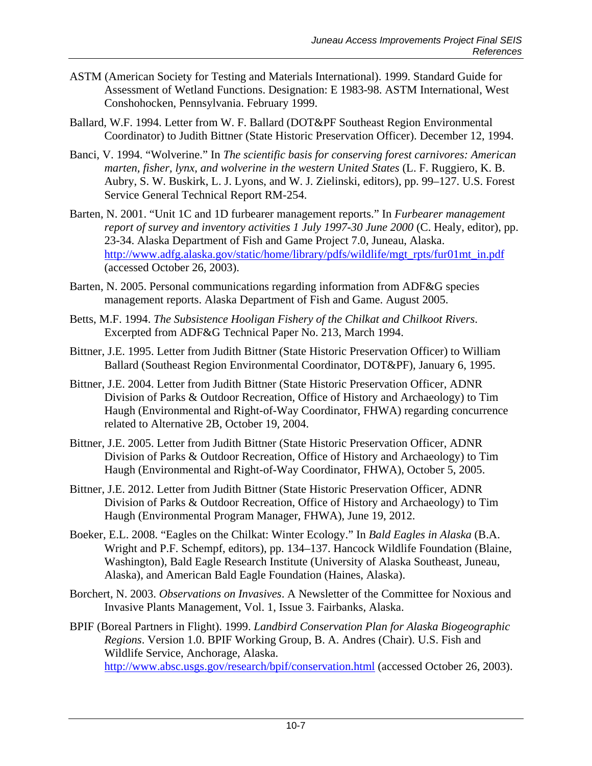- ASTM (American Society for Testing and Materials International). 1999. Standard Guide for Assessment of Wetland Functions. Designation: E 1983-98. ASTM International, West Conshohocken, Pennsylvania. February 1999.
- Ballard, W.F. 1994. Letter from W. F. Ballard (DOT&PF Southeast Region Environmental Coordinator) to Judith Bittner (State Historic Preservation Officer). December 12, 1994.
- Banci, V. 1994. "Wolverine." In *The scientific basis for conserving forest carnivores: American marten, fisher, lynx, and wolverine in the western United States* (L. F. Ruggiero, K. B. Aubry, S. W. Buskirk, L. J. Lyons, and W. J. Zielinski, editors), pp. 99–127. U.S. Forest Service General Technical Report RM-254.
- Barten, N. 2001. "Unit 1C and 1D furbearer management reports." In *Furbearer management report of survey and inventory activities 1 July 1997-30 June 2000* (C. Healy, editor), pp. 23-34. Alaska Department of Fish and Game Project 7.0, Juneau, Alaska. [http://www.adfg.alaska.gov/static/home/library/pdfs/wildlife/mgt\\_rpts/fur01mt\\_in.pdf](http://www.adfg.alaska.gov/static/home/library/pdfs/wildlife/mgt_rpts/fur01mt_in.pdf) (accessed October 26, 2003).
- Barten, N. 2005. Personal communications regarding information from ADF&G species management reports. Alaska Department of Fish and Game. August 2005.
- Betts, M.F. 1994. *The Subsistence Hooligan Fishery of the Chilkat and Chilkoot Rivers*. Excerpted from ADF&G Technical Paper No. 213, March 1994.
- Bittner, J.E. 1995. Letter from Judith Bittner (State Historic Preservation Officer) to William Ballard (Southeast Region Environmental Coordinator, DOT&PF), January 6, 1995.
- Bittner, J.E. 2004. Letter from Judith Bittner (State Historic Preservation Officer, ADNR Division of Parks & Outdoor Recreation, Office of History and Archaeology) to Tim Haugh (Environmental and Right-of-Way Coordinator, FHWA) regarding concurrence related to Alternative 2B, October 19, 2004.
- Bittner, J.E. 2005. Letter from Judith Bittner (State Historic Preservation Officer, ADNR Division of Parks & Outdoor Recreation, Office of History and Archaeology) to Tim Haugh (Environmental and Right-of-Way Coordinator, FHWA), October 5, 2005.
- Bittner, J.E. 2012. Letter from Judith Bittner (State Historic Preservation Officer, ADNR Division of Parks & Outdoor Recreation, Office of History and Archaeology) to Tim Haugh (Environmental Program Manager, FHWA), June 19, 2012.
- Boeker, E.L. 2008. "Eagles on the Chilkat: Winter Ecology." In *Bald Eagles in Alaska* (B.A. Wright and P.F. Schempf, editors), pp. 134–137. Hancock Wildlife Foundation (Blaine, Washington), Bald Eagle Research Institute (University of Alaska Southeast, Juneau, Alaska), and American Bald Eagle Foundation (Haines, Alaska).
- Borchert, N. 2003. *Observations on Invasives*. A Newsletter of the Committee for Noxious and Invasive Plants Management, Vol. 1, Issue 3. Fairbanks, Alaska.
- BPIF (Boreal Partners in Flight). 1999. *Landbird Conservation Plan for Alaska Biogeographic Regions*. Version 1.0. BPIF Working Group, B. A. Andres (Chair). U.S. Fish and Wildlife Service, Anchorage, Alaska. <http://www.absc.usgs.gov/research/bpif/conservation.html> (accessed October 26, 2003).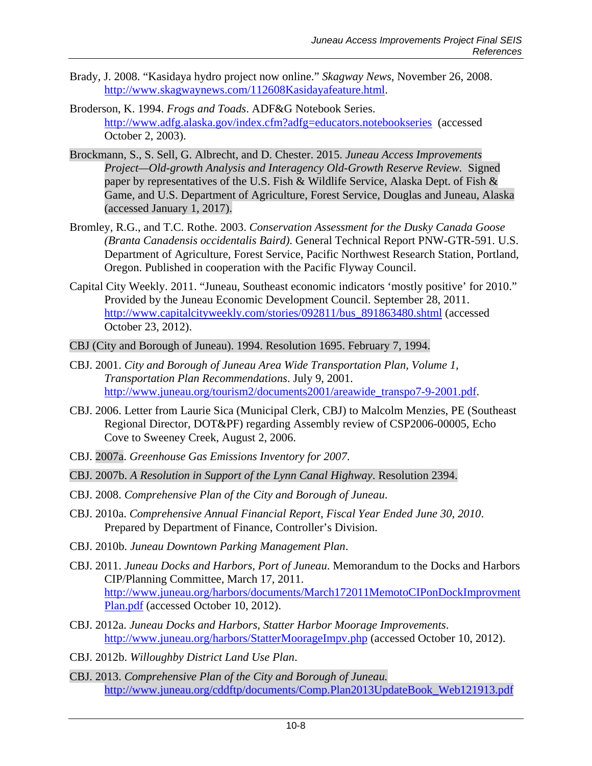- Brady, J. 2008. "Kasidaya hydro project now online." *Skagway News*, November 26, 2008. [http://www.skagwaynews.com/112608Kasidayafeature.html.](http://www.skagwaynews.com/112608Kasidayafeature.html)
- Broderson, K. 1994. *Frogs and Toads*. ADF&G Notebook Series. <http://www.adfg.alaska.gov/index.cfm?adfg=educators.notebookseries>(accessed October 2, 2003).
- Brockmann, S., S. Sell, G. Albrecht, and D. Chester. 2015. *Juneau Access Improvements Project—Old-growth Analysis and Interagency Old-Growth Reserve Review.* Signed paper by representatives of the U.S. Fish & Wildlife Service, Alaska Dept. of Fish & Game, and U.S. Department of Agriculture, Forest Service, Douglas and Juneau, Alaska (accessed January 1, 2017).
- Bromley, R.G., and T.C. Rothe. 2003. *Conservation Assessment for the Dusky Canada Goose (Branta Canadensis occidentalis Baird)*. General Technical Report PNW-GTR-591. U.S. Department of Agriculture, Forest Service, Pacific Northwest Research Station, Portland, Oregon. Published in cooperation with the Pacific Flyway Council.
- Capital City Weekly. 2011. "Juneau, Southeast economic indicators 'mostly positive' for 2010." Provided by the Juneau Economic Development Council. September 28, 2011. [http://www.capitalcityweekly.com/stories/092811/bus\\_891863480.shtml](http://www.capitalcityweekly.com/stories/092811/bus_891863480.shtml) (accessed October 23, 2012).
- CBJ (City and Borough of Juneau). 1994. Resolution 1695. February 7, 1994.
- CBJ. 2001. *City and Borough of Juneau Area Wide Transportation Plan, Volume 1, Transportation Plan Recommendations*. July 9, 2001. [http://www.juneau.org/tourism2/documents2001/areawide\\_transpo7-9-2001.pdf.](http://www.juneau.org/tourism2/documents2001/areawide_transpo7-9-2001.pdf)
- CBJ. 2006. Letter from Laurie Sica (Municipal Clerk, CBJ) to Malcolm Menzies, PE (Southeast Regional Director, DOT&PF) regarding Assembly review of CSP2006-00005, Echo Cove to Sweeney Creek, August 2, 2006.
- CBJ. 2007a. *Greenhouse Gas Emissions Inventory for 2007*.
- CBJ. 2007b. *A Resolution in Support of the Lynn Canal Highway*. Resolution 2394.
- CBJ. 2008. *Comprehensive Plan of the City and Borough of Juneau*.
- CBJ. 2010a. *Comprehensive Annual Financial Report, Fiscal Year Ended June 30, 2010*. Prepared by Department of Finance, Controller's Division.
- CBJ. 2010b. *Juneau Downtown Parking Management Plan*.
- CBJ. 2011. *Juneau Docks and Harbors, Port of Juneau*. Memorandum to the Docks and Harbors CIP/Planning Committee, March 17, 2011. [http://www.juneau.org/harbors/documents/March172011MemotoCIPonDockImprovment](http://www.juneau.org/harbors/documents/March172011MemotoCIPonDockImprovmentPlan.pdf) [Plan.pdf](http://www.juneau.org/harbors/documents/March172011MemotoCIPonDockImprovmentPlan.pdf) (accessed October 10, 2012).
- CBJ. 2012a. *Juneau Docks and Harbors, Statter Harbor Moorage Improvements*. <http://www.juneau.org/harbors/StatterMoorageImpv.php> (accessed October 10, 2012).
- CBJ. 2012b. *Willoughby District Land Use Plan*.
- CBJ. 2013. *Comprehensive Plan of the City and Borough of Juneau.*  [http://www.juneau.org/cddftp/documents/Comp.Plan2013UpdateBook\\_Web121913.pdf](http://www.juneau.org/cddftp/documents/Comp.Plan2013UpdateBook_Web121913.pdf)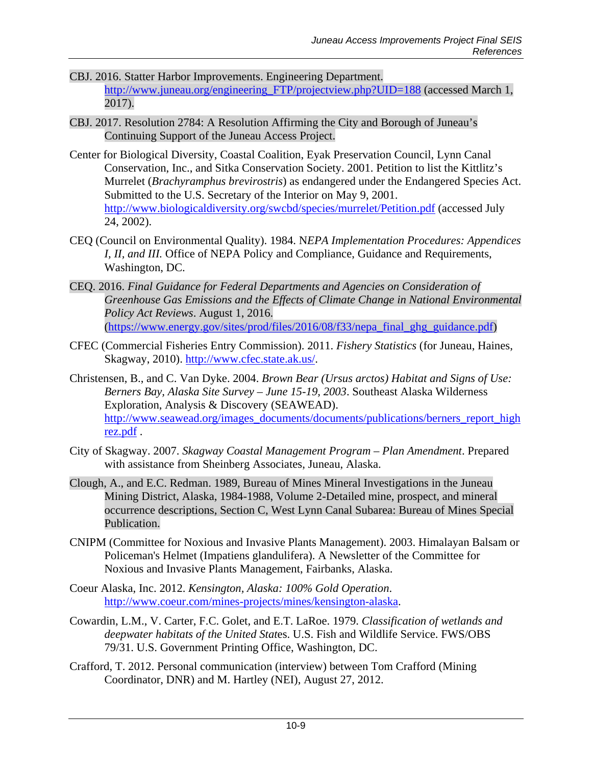- CBJ. 2016. Statter Harbor Improvements. Engineering Department. [http://www.juneau.org/engineering\\_FTP/projectview.php?UID=188](http://www.juneau.org/engineering_FTP/projectview.php?UID=188) (accessed March 1, 2017).
- CBJ. 2017. Resolution 2784: A Resolution Affirming the City and Borough of Juneau's Continuing Support of the Juneau Access Project.
- Center for Biological Diversity, Coastal Coalition, Eyak Preservation Council, Lynn Canal Conservation, Inc., and Sitka Conservation Society. 2001. Petition to list the Kittlitz's Murrelet (*Brachyramphus brevirostris*) as endangered under the Endangered Species Act. Submitted to the U.S. Secretary of the Interior on May 9, 2001. <http://www.biologicaldiversity.org/swcbd/species/murrelet/Petition.pdf> (accessed July 24, 2002).
- CEQ (Council on Environmental Quality). 1984. N*EPA Implementation Procedures: Appendices I, II, and III.* Office of NEPA Policy and Compliance, Guidance and Requirements, Washington, DC.
- CEQ. 2016. *Final Guidance for Federal Departments and Agencies on Consideration of Greenhouse Gas Emissions and the Effects of Climate Change in National Environmental Policy Act Reviews*. August 1, 2016. [\(https://www.energy.gov/sites/prod/files/2016/08/f33/nepa\\_final\\_ghg\\_guidance.pdf\)](https://www.energy.gov/sites/prod/files/2016/08/f33/nepa_final_ghg_guidance.pdf)
- CFEC (Commercial Fisheries Entry Commission). 2011. *Fishery Statistics* (for Juneau, Haines, Skagway, 2010). [http://www.cfec.state.ak.us/.](http://www.cfec.state.ak.us/)
- Christensen, B., and C. Van Dyke. 2004. *Brown Bear (Ursus arctos) Habitat and Signs of Use: Berners Bay, Alaska Site Survey – June 15-19, 2003*. Southeast Alaska Wilderness Exploration, Analysis & Discovery (SEAWEAD). [http://www.seawead.org/images\\_documents/documents/publications/berners\\_report\\_high](http://www.seawead.org/images_documents/documents/publications/berners_report_highrez.pdf) [rez.pdf](http://www.seawead.org/images_documents/documents/publications/berners_report_highrez.pdf) .
- City of Skagway. 2007. *Skagway Coastal Management Program – Plan Amendment*. Prepared with assistance from Sheinberg Associates, Juneau, Alaska.
- Clough, A., and E.C. Redman. 1989, Bureau of Mines Mineral Investigations in the Juneau Mining District, Alaska, 1984-1988, Volume 2-Detailed mine, prospect, and mineral occurrence descriptions, Section C, West Lynn Canal Subarea: Bureau of Mines Special Publication.
- CNIPM (Committee for Noxious and Invasive Plants Management). 2003. Himalayan Balsam or Policeman's Helmet (Impatiens glandulifera). A Newsletter of the Committee for Noxious and Invasive Plants Management, Fairbanks, Alaska.
- Coeur Alaska, Inc. 2012. *Kensington, Alaska: 100% Gold Operation*. [http://www.coeur.com/mines-projects/mines/kensington-alaska.](http://www.coeur.com/mines-projects/mines/kensington-alaska)
- Cowardin, L.M., V. Carter, F.C. Golet, and E.T. LaRoe. 1979. *Classification of wetlands and deepwater habitats of the United Stat*es. U.S. Fish and Wildlife Service. FWS/OBS 79/31. U.S. Government Printing Office, Washington, DC.
- Crafford, T. 2012. Personal communication (interview) between Tom Crafford (Mining Coordinator, DNR) and M. Hartley (NEI), August 27, 2012.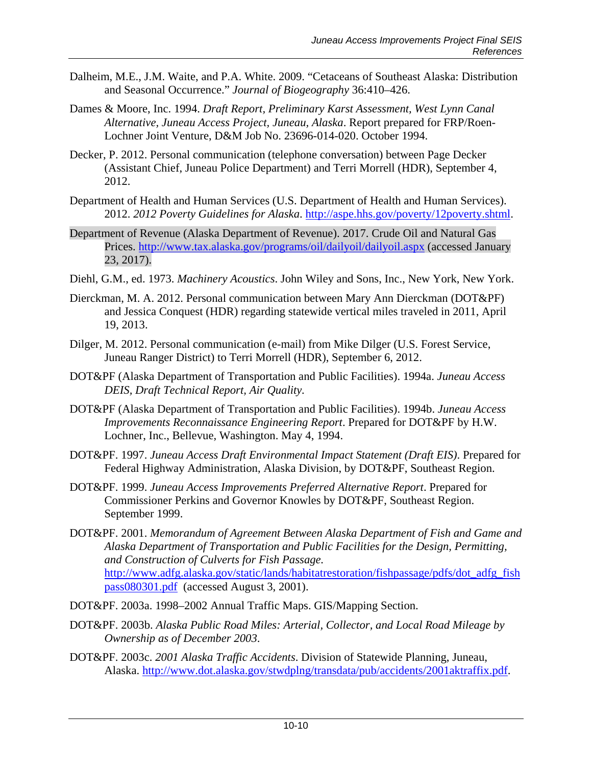- Dalheim, M.E., J.M. Waite, and P.A. White. 2009. "Cetaceans of Southeast Alaska: Distribution and Seasonal Occurrence." *Journal of Biogeography* 36:410–426.
- Dames & Moore, Inc. 1994. *Draft Report, Preliminary Karst Assessment, West Lynn Canal Alternative, Juneau Access Project, Juneau, Alaska*. Report prepared for FRP/Roen-Lochner Joint Venture, D&M Job No. 23696-014-020. October 1994.
- Decker, P. 2012. Personal communication (telephone conversation) between Page Decker (Assistant Chief, Juneau Police Department) and Terri Morrell (HDR), September 4, 2012.
- Department of Health and Human Services (U.S. Department of Health and Human Services). 2012. *2012 Poverty Guidelines for Alaska*. [http://aspe.hhs.gov/poverty/12poverty.shtml.](http://aspe.hhs.gov/poverty/12poverty.shtml)
- Department of Revenue (Alaska Department of Revenue). 2017. Crude Oil and Natural Gas Prices.<http://www.tax.alaska.gov/programs/oil/dailyoil/dailyoil.aspx> (accessed January 23, 2017).
- Diehl, G.M., ed. 1973. *Machinery Acoustics*. John Wiley and Sons, Inc., New York, New York.
- Dierckman, M. A. 2012. Personal communication between Mary Ann Dierckman (DOT&PF) and Jessica Conquest (HDR) regarding statewide vertical miles traveled in 2011, April 19, 2013.
- Dilger, M. 2012. Personal communication (e-mail) from Mike Dilger (U.S. Forest Service, Juneau Ranger District) to Terri Morrell (HDR), September 6, 2012.
- DOT&PF (Alaska Department of Transportation and Public Facilities). 1994a. *Juneau Access DEIS, Draft Technical Report, Air Quality.*
- DOT&PF (Alaska Department of Transportation and Public Facilities). 1994b. *Juneau Access Improvements Reconnaissance Engineering Report*. Prepared for DOT&PF by H.W. Lochner, Inc., Bellevue, Washington. May 4, 1994.
- DOT&PF. 1997. *Juneau Access Draft Environmental Impact Statement (Draft EIS)*. Prepared for Federal Highway Administration, Alaska Division, by DOT&PF, Southeast Region.
- DOT&PF. 1999. *Juneau Access Improvements Preferred Alternative Report*. Prepared for Commissioner Perkins and Governor Knowles by DOT&PF, Southeast Region. September 1999.
- DOT&PF. 2001. *Memorandum of Agreement Between Alaska Department of Fish and Game and Alaska Department of Transportation and Public Facilities for the Design, Permitting, and Construction of Culverts for Fish Passage.*  [http://www.adfg.alaska.gov/static/lands/habitatrestoration/fishpassage/pdfs/dot\\_adfg\\_fish](http://www.adfg.alaska.gov/static/lands/habitatrestoration/fishpassage/pdfs/dot_adfg_fishpass080301.pdf) [pass080301.pdf](http://www.adfg.alaska.gov/static/lands/habitatrestoration/fishpassage/pdfs/dot_adfg_fishpass080301.pdf) (accessed August 3, 2001).
- DOT&PF. 2003a. 1998–2002 Annual Traffic Maps. GIS/Mapping Section.
- DOT&PF. 2003b. *Alaska Public Road Miles: Arterial, Collector, and Local Road Mileage by Ownership as of December 2003*.
- DOT&PF. 2003c. *2001 Alaska Traffic Accidents*. Division of Statewide Planning, Juneau, Alaska. [http://www.dot.alaska.gov/stwdplng/transdata/pub/accidents/2001aktraffix.pdf.](http://www.dot.alaska.gov/stwdplng/transdata/pub/accidents/2001aktraffix.pdf)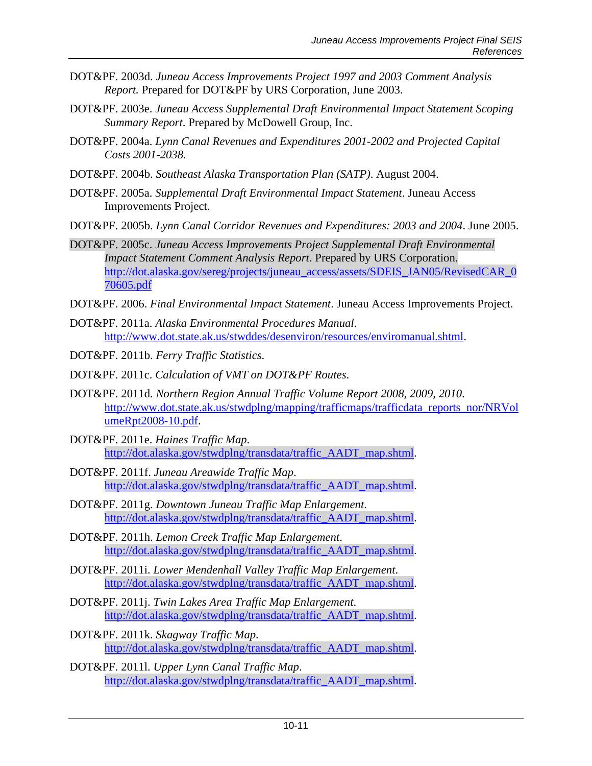- DOT&PF. 2003d. *Juneau Access Improvements Project 1997 and 2003 Comment Analysis Report.* Prepared for DOT&PF by URS Corporation, June 2003.
- DOT&PF. 2003e. *Juneau Access Supplemental Draft Environmental Impact Statement Scoping Summary Report*. Prepared by McDowell Group, Inc.
- DOT&PF. 2004a. *Lynn Canal Revenues and Expenditures 2001-2002 and Projected Capital Costs 2001-2038.*
- DOT&PF. 2004b. *Southeast Alaska Transportation Plan (SATP)*. August 2004.
- DOT&PF. 2005a. *Supplemental Draft Environmental Impact Statement*. Juneau Access Improvements Project.
- DOT&PF. 2005b. *Lynn Canal Corridor Revenues and Expenditures: 2003 and 2004*. June 2005.
- DOT&PF. 2005c. *Juneau Access Improvements Project Supplemental Draft Environmental Impact Statement Comment Analysis Report*. Prepared by URS Corporation. [http://dot.alaska.gov/sereg/projects/juneau\\_access/assets/SDEIS\\_JAN05/RevisedCAR\\_0](http://dot.alaska.gov/sereg/projects/juneau_access/assets/SDEIS_JAN05/RevisedCAR_070605.pdf) [70605.pdf](http://dot.alaska.gov/sereg/projects/juneau_access/assets/SDEIS_JAN05/RevisedCAR_070605.pdf)
- DOT&PF. 2006. *Final Environmental Impact Statement*. Juneau Access Improvements Project.
- DOT&PF. 2011a. *Alaska Environmental Procedures Manual*. [http://www.dot.state.ak.us/stwddes/desenviron/resources/enviromanual.shtml.](http://www.dot.state.ak.us/stwddes/desenviron/resources/enviromanual.shtml)
- DOT&PF. 2011b. *Ferry Traffic Statistics*.
- DOT&PF. 2011c. *Calculation of VMT on DOT&PF Routes*.
- DOT&PF. 2011d. *Northern Region Annual Traffic Volume Report 2008, 2009, 2010*. [http://www.dot.state.ak.us/stwdplng/mapping/trafficmaps/trafficdata\\_reports\\_nor/NRVol](http://www.dot.state.ak.us/stwdplng/mapping/trafficmaps/trafficdata_reports_nor/NRVolumeRpt2008-10.pdf) [umeRpt2008-10.pdf.](http://www.dot.state.ak.us/stwdplng/mapping/trafficmaps/trafficdata_reports_nor/NRVolumeRpt2008-10.pdf)
- DOT&PF. 2011e. *Haines Traffic Map*. http://dot.alaska.gov/stwdplng/transdata/traffic\_AADT\_map.shtml.
- DOT&PF. 2011f. *Juneau Areawide Traffic Map*. http://dot.alaska.gov/stwdplng/transdata/traffic\_AADT\_map.shtml.
- DOT&PF. 2011g. *Downtown Juneau Traffic Map Enlargement*. http://dot.alaska.gov/stwdplng/transdata/traffic\_AADT\_map.shtml.
- DOT&PF. 2011h. *Lemon Creek Traffic Map Enlargement*. http://dot.alaska.gov/stwdplng/transdata/traffic\_AADT\_map.shtml.
- DOT&PF. 2011i. *Lower Mendenhall Valley Traffic Map Enlargement*. http://dot.alaska.gov/stwdplng/transdata/traffic\_AADT\_map.shtml.
- DOT&PF. 2011j. *Twin Lakes Area Traffic Map Enlargement*. http://dot.alaska.gov/stwdplng/transdata/traffic\_AADT\_map.shtml.
- DOT&PF. 2011k. *Skagway Traffic Map*. http://dot.alaska.gov/stwdplng/transdata/traffic\_AADT\_map.shtml.
- DOT&PF. 2011l. *Upper Lynn Canal Traffic Map*. http://dot.alaska.gov/stwdplng/transdata/traffic\_AADT\_map.shtml.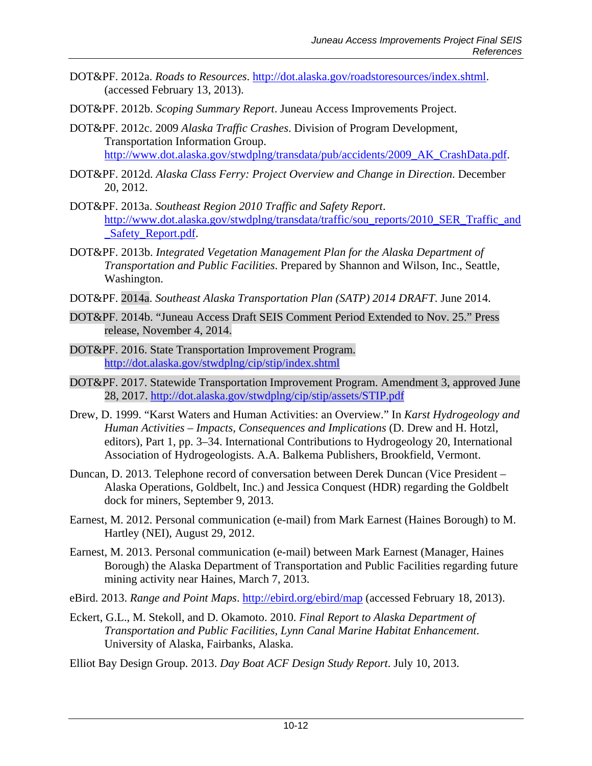- DOT&PF. 2012a. *Roads to Resources*. [http://dot.alaska.gov/roadstoresources/index.shtml.](http://dot.alaska.gov/roadstoresources/index.shtml) (accessed February 13, 2013).
- DOT&PF. 2012b. *Scoping Summary Report*. Juneau Access Improvements Project.
- DOT&PF. 2012c. 2009 *Alaska Traffic Crashes*. Division of Program Development, Transportation Information Group. [http://www.dot.alaska.gov/stwdplng/transdata/pub/accidents/2009\\_AK\\_CrashData.pdf.](http://www.dot.alaska.gov/stwdplng/transdata/pub/accidents/2009_AK_CrashData.pdf)
- DOT&PF. 2012d. *Alaska Class Ferry: Project Overview and Change in Direction*. December 20, 2012.
- DOT&PF. 2013a. *Southeast Region 2010 Traffic and Safety Report*. [http://www.dot.alaska.gov/stwdplng/transdata/traffic/sou\\_reports/2010\\_SER\\_Traffic\\_and](http://www.dot.alaska.gov/stwdplng/transdata/traffic/sou_reports/2010_SER_Traffic_and_Safety_Report.pdf) [\\_Safety\\_Report.pdf.](http://www.dot.alaska.gov/stwdplng/transdata/traffic/sou_reports/2010_SER_Traffic_and_Safety_Report.pdf)
- DOT&PF. 2013b. *Integrated Vegetation Management Plan for the Alaska Department of Transportation and Public Facilities*. Prepared by Shannon and Wilson, Inc., Seattle, Washington.
- DOT&PF. 2014a. *Southeast Alaska Transportation Plan (SATP) 2014 DRAFT*. June 2014.
- DOT&PF. 2014b. "Juneau Access Draft SEIS Comment Period Extended to Nov. 25." Press release, November 4, 2014.
- DOT&PF. 2016. State Transportation Improvement Program. <http://dot.alaska.gov/stwdplng/cip/stip/index.shtml>
- DOT&PF. 2017. Statewide Transportation Improvement Program. Amendment 3, approved June 28, 2017.<http://dot.alaska.gov/stwdplng/cip/stip/assets/STIP.pdf>
- Drew, D. 1999. "Karst Waters and Human Activities: an Overview." In *Karst Hydrogeology and Human Activities – Impacts, Consequences and Implications* (D. Drew and H. Hotzl, editors), Part 1, pp. 3–34. International Contributions to Hydrogeology 20, International Association of Hydrogeologists. A.A. Balkema Publishers, Brookfield, Vermont.
- Duncan, D. 2013. Telephone record of conversation between Derek Duncan (Vice President Alaska Operations, Goldbelt, Inc.) and Jessica Conquest (HDR) regarding the Goldbelt dock for miners, September 9, 2013.
- Earnest, M. 2012. Personal communication (e-mail) from Mark Earnest (Haines Borough) to M. Hartley (NEI), August 29, 2012.
- Earnest, M. 2013. Personal communication (e-mail) between Mark Earnest (Manager, Haines Borough) the Alaska Department of Transportation and Public Facilities regarding future mining activity near Haines, March 7, 2013.
- eBird. 2013. *Range and Point Maps*.<http://ebird.org/ebird/map> (accessed February 18, 2013).
- Eckert, G.L., M. Stekoll, and D. Okamoto. 2010. *Final Report to Alaska Department of Transportation and Public Facilities, Lynn Canal Marine Habitat Enhancement*. University of Alaska, Fairbanks, Alaska.
- Elliot Bay Design Group. 2013. *Day Boat ACF Design Study Report*. July 10, 2013.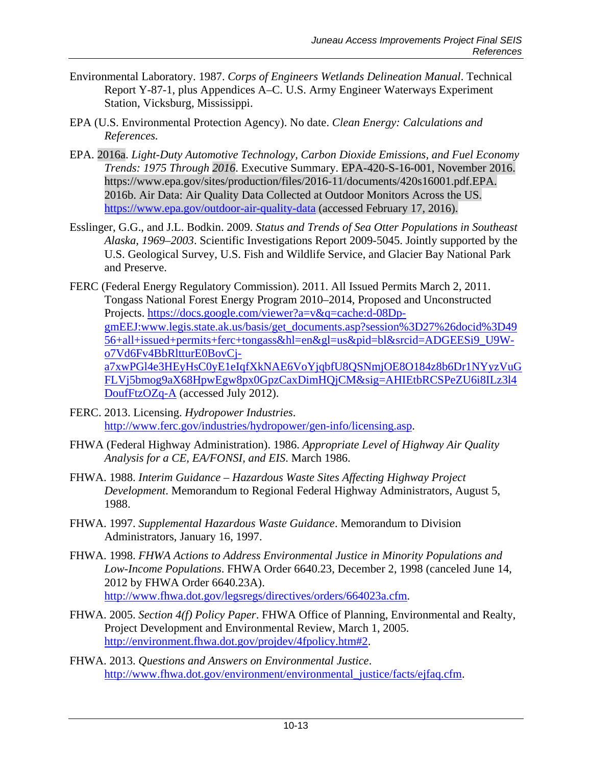- Environmental Laboratory. 1987. *Corps of Engineers Wetlands Delineation Manual*. Technical Report Y-87-1, plus Appendices A–C. U.S. Army Engineer Waterways Experiment Station, Vicksburg, Mississippi.
- EPA (U.S. Environmental Protection Agency). No date. *Clean Energy: Calculations and References.*
- EPA. 2016a. *Light-Duty Automotive Technology, Carbon Dioxide Emissions, and Fuel Economy Trends: 1975 Through 2016*. Executive Summary. EPA-420-S-16-001, November 2016. https://www.epa.gov/sites/production/files/2016-11/documents/420s16001.pdf.EPA. 2016b. Air Data: Air Quality Data Collected at Outdoor Monitors Across the US. <https://www.epa.gov/outdoor-air-quality-data> (accessed February 17, 2016).
- Esslinger, G.G., and J.L. Bodkin. 2009. *Status and Trends of Sea Otter Populations in Southeast Alaska, 1969–2003*. Scientific Investigations Report 2009-5045. Jointly supported by the U.S. Geological Survey, U.S. Fish and Wildlife Service, and Glacier Bay National Park and Preserve.
- FERC (Federal Energy Regulatory Commission). 2011. All Issued Permits March 2, 2011. Tongass National Forest Energy Program 2010–2014, Proposed and Unconstructed Projects. [https://docs.google.com/viewer?a=v&q=cache:d-08Dp](https://docs.google.com/viewer?a=v&q=cache:d-08Dp-gmEEJ:www.legis.state.ak.us/basis/get_documents.asp?session%3D27%26docid%3D4956+all+issued+permits+ferc+tongass&hl=en&gl=us&pid=bl&srcid=ADGEESi9_U9W-o7Vd6Fv4BbRltturE0BovCj-a7xwPGl4e3HEyHsC0yE1eIqfXkNAE6VoYjqbfU8QSNmjOE8O184z8b6Dr1NYyzVuGFLVj5bmog9aX68HpwEgw8px0GpzCaxDimHQjCM&sig=AHIEtbRCSPeZU6i8ILz3l4DoufFtzOZq-A)[gmEEJ:www.legis.state.ak.us/basis/get\\_documents.asp?session%3D27%26docid%3D49](https://docs.google.com/viewer?a=v&q=cache:d-08Dp-gmEEJ:www.legis.state.ak.us/basis/get_documents.asp?session%3D27%26docid%3D4956+all+issued+permits+ferc+tongass&hl=en&gl=us&pid=bl&srcid=ADGEESi9_U9W-o7Vd6Fv4BbRltturE0BovCj-a7xwPGl4e3HEyHsC0yE1eIqfXkNAE6VoYjqbfU8QSNmjOE8O184z8b6Dr1NYyzVuGFLVj5bmog9aX68HpwEgw8px0GpzCaxDimHQjCM&sig=AHIEtbRCSPeZU6i8ILz3l4DoufFtzOZq-A) [56+all+issued+permits+ferc+tongass&hl=en&gl=us&pid=bl&srcid=ADGEESi9\\_U9W](https://docs.google.com/viewer?a=v&q=cache:d-08Dp-gmEEJ:www.legis.state.ak.us/basis/get_documents.asp?session%3D27%26docid%3D4956+all+issued+permits+ferc+tongass&hl=en&gl=us&pid=bl&srcid=ADGEESi9_U9W-o7Vd6Fv4BbRltturE0BovCj-a7xwPGl4e3HEyHsC0yE1eIqfXkNAE6VoYjqbfU8QSNmjOE8O184z8b6Dr1NYyzVuGFLVj5bmog9aX68HpwEgw8px0GpzCaxDimHQjCM&sig=AHIEtbRCSPeZU6i8ILz3l4DoufFtzOZq-A)[o7Vd6Fv4BbRltturE0BovCj](https://docs.google.com/viewer?a=v&q=cache:d-08Dp-gmEEJ:www.legis.state.ak.us/basis/get_documents.asp?session%3D27%26docid%3D4956+all+issued+permits+ferc+tongass&hl=en&gl=us&pid=bl&srcid=ADGEESi9_U9W-o7Vd6Fv4BbRltturE0BovCj-a7xwPGl4e3HEyHsC0yE1eIqfXkNAE6VoYjqbfU8QSNmjOE8O184z8b6Dr1NYyzVuGFLVj5bmog9aX68HpwEgw8px0GpzCaxDimHQjCM&sig=AHIEtbRCSPeZU6i8ILz3l4DoufFtzOZq-A)[a7xwPGl4e3HEyHsC0yE1eIqfXkNAE6VoYjqbfU8QSNmjOE8O184z8b6Dr1NYyzVuG](https://docs.google.com/viewer?a=v&q=cache:d-08Dp-gmEEJ:www.legis.state.ak.us/basis/get_documents.asp?session%3D27%26docid%3D4956+all+issued+permits+ferc+tongass&hl=en&gl=us&pid=bl&srcid=ADGEESi9_U9W-o7Vd6Fv4BbRltturE0BovCj-a7xwPGl4e3HEyHsC0yE1eIqfXkNAE6VoYjqbfU8QSNmjOE8O184z8b6Dr1NYyzVuGFLVj5bmog9aX68HpwEgw8px0GpzCaxDimHQjCM&sig=AHIEtbRCSPeZU6i8ILz3l4DoufFtzOZq-A) [FLVj5bmog9aX68HpwEgw8px0GpzCaxDimHQjCM&sig=AHIEtbRCSPeZU6i8ILz3l4](https://docs.google.com/viewer?a=v&q=cache:d-08Dp-gmEEJ:www.legis.state.ak.us/basis/get_documents.asp?session%3D27%26docid%3D4956+all+issued+permits+ferc+tongass&hl=en&gl=us&pid=bl&srcid=ADGEESi9_U9W-o7Vd6Fv4BbRltturE0BovCj-a7xwPGl4e3HEyHsC0yE1eIqfXkNAE6VoYjqbfU8QSNmjOE8O184z8b6Dr1NYyzVuGFLVj5bmog9aX68HpwEgw8px0GpzCaxDimHQjCM&sig=AHIEtbRCSPeZU6i8ILz3l4DoufFtzOZq-A) [DoufFtzOZq-A](https://docs.google.com/viewer?a=v&q=cache:d-08Dp-gmEEJ:www.legis.state.ak.us/basis/get_documents.asp?session%3D27%26docid%3D4956+all+issued+permits+ferc+tongass&hl=en&gl=us&pid=bl&srcid=ADGEESi9_U9W-o7Vd6Fv4BbRltturE0BovCj-a7xwPGl4e3HEyHsC0yE1eIqfXkNAE6VoYjqbfU8QSNmjOE8O184z8b6Dr1NYyzVuGFLVj5bmog9aX68HpwEgw8px0GpzCaxDimHQjCM&sig=AHIEtbRCSPeZU6i8ILz3l4DoufFtzOZq-A) (accessed July 2012).
- FERC. 2013. Licensing. *Hydropower Industries*. [http://www.ferc.gov/industries/hydropower/gen-info/licensing.asp.](http://www.ferc.gov/industries/hydropower/gen-info/licensing.asp)
- FHWA (Federal Highway Administration). 1986. *Appropriate Level of Highway Air Quality Analysis for a CE, EA/FONSI, and EIS*. March 1986.
- FHWA. 1988. *Interim Guidance – Hazardous Waste Sites Affecting Highway Project Development*. Memorandum to Regional Federal Highway Administrators, August 5, 1988.
- FHWA. 1997. *Supplemental Hazardous Waste Guidance*. Memorandum to Division Administrators, January 16, 1997.
- FHWA. 1998. *FHWA Actions to Address Environmental Justice in Minority Populations and Low-Income Populations*. FHWA Order 6640.23, December 2, 1998 (canceled June 14, 2012 by FHWA Order 6640.23A). [http://www.fhwa.dot.gov/legsregs/directives/orders/664023a.cfm.](http://www.fhwa.dot.gov/legsregs/directives/orders/664023a.cfm)
- FHWA. 2005. *Section 4(f) Policy Paper*. FHWA Office of Planning, Environmental and Realty, Project Development and Environmental Review, March 1, 2005. [http://environment.fhwa.dot.gov/projdev/4fpolicy.htm#2.](http://environment.fhwa.dot.gov/projdev/4fpolicy.htm%232)
- FHWA. 2013. *Questions and Answers on Environmental Justice*. [http://www.fhwa.dot.gov/environment/environmental\\_justice/facts/ejfaq.cfm.](http://www.fhwa.dot.gov/environment/environmental_justice/facts/ejfaq.cfm)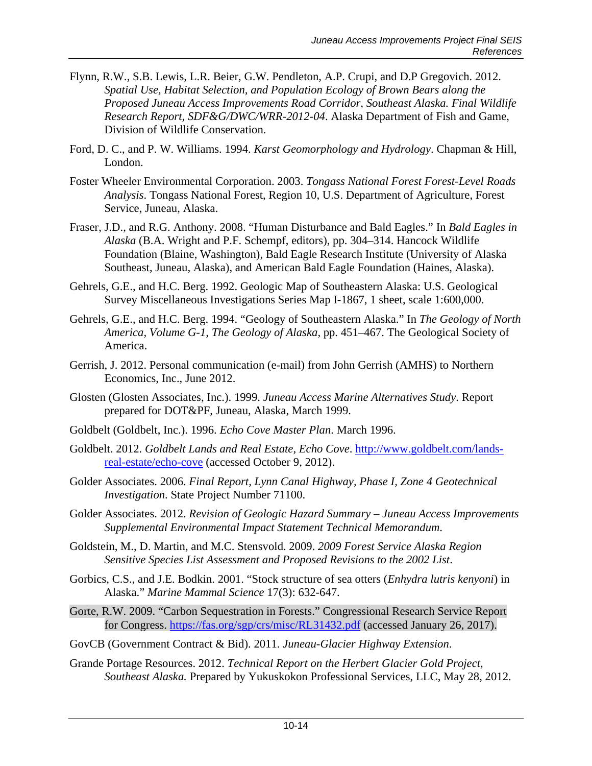- Flynn, R.W., S.B. Lewis, L.R. Beier, G.W. Pendleton, A.P. Crupi, and D.P Gregovich. 2012. *Spatial Use, Habitat Selection, and Population Ecology of Brown Bears along the Proposed Juneau Access Improvements Road Corridor, Southeast Alaska. Final Wildlife Research Report, SDF&G/DWC/WRR-2012-04*. Alaska Department of Fish and Game, Division of Wildlife Conservation.
- Ford, D. C., and P. W. Williams. 1994. *Karst Geomorphology and Hydrology*. Chapman & Hill, London.
- Foster Wheeler Environmental Corporation. 2003. *Tongass National Forest Forest-Level Roads Analysis*. Tongass National Forest, Region 10, U.S. Department of Agriculture, Forest Service, Juneau, Alaska.
- Fraser, J.D., and R.G. Anthony. 2008. "Human Disturbance and Bald Eagles." In *Bald Eagles in Alaska* (B.A. Wright and P.F. Schempf, editors), pp. 304–314. Hancock Wildlife Foundation (Blaine, Washington), Bald Eagle Research Institute (University of Alaska Southeast, Juneau, Alaska), and American Bald Eagle Foundation (Haines, Alaska).
- Gehrels, G.E., and H.C. Berg. 1992. Geologic Map of Southeastern Alaska: U.S. Geological Survey Miscellaneous Investigations Series Map I-1867, 1 sheet, scale 1:600,000.
- Gehrels, G.E., and H.C. Berg. 1994. "Geology of Southeastern Alaska." In *The Geology of North America, Volume G-1, The Geology of Alaska,* pp. 451–467. The Geological Society of America.
- Gerrish, J. 2012. Personal communication (e-mail) from John Gerrish (AMHS) to Northern Economics, Inc., June 2012.
- Glosten (Glosten Associates, Inc.). 1999. *Juneau Access Marine Alternatives Study*. Report prepared for DOT&PF, Juneau, Alaska, March 1999.
- Goldbelt (Goldbelt, Inc.). 1996. *Echo Cove Master Plan*. March 1996.
- Goldbelt. 2012. *Goldbelt Lands and Real Estate, Echo Cove*. [http://www.goldbelt.com/lands](http://www.goldbelt.com/lands-real-estate/echo-cove)[real-estate/echo-cove](http://www.goldbelt.com/lands-real-estate/echo-cove) (accessed October 9, 2012).
- Golder Associates. 2006. *Final Report, Lynn Canal Highway, Phase I, Zone 4 Geotechnical Investigation*. State Project Number 71100.
- Golder Associates. 2012. *Revision of Geologic Hazard Summary – Juneau Access Improvements Supplemental Environmental Impact Statement Technical Memorandum*.
- Goldstein, M., D. Martin, and M.C. Stensvold. 2009. *2009 Forest Service Alaska Region Sensitive Species List Assessment and Proposed Revisions to the 2002 List*.
- Gorbics, C.S., and J.E. Bodkin. 2001. "Stock structure of sea otters (*Enhydra lutris kenyoni*) in Alaska." *Marine Mammal Science* 17(3): 632-647.
- Gorte, R.W. 2009. "Carbon Sequestration in Forests." Congressional Research Service Report for Congress. https://fas.org/sgp/crs/misc/RL31432.pdf (accessed January 26, 2017).
- GovCB (Government Contract & Bid). 2011. *Juneau-Glacier Highway Extension*.
- Grande Portage Resources. 2012. *Technical Report on the Herbert Glacier Gold Project, Southeast Alaska.* Prepared by Yukuskokon Professional Services, LLC, May 28, 2012.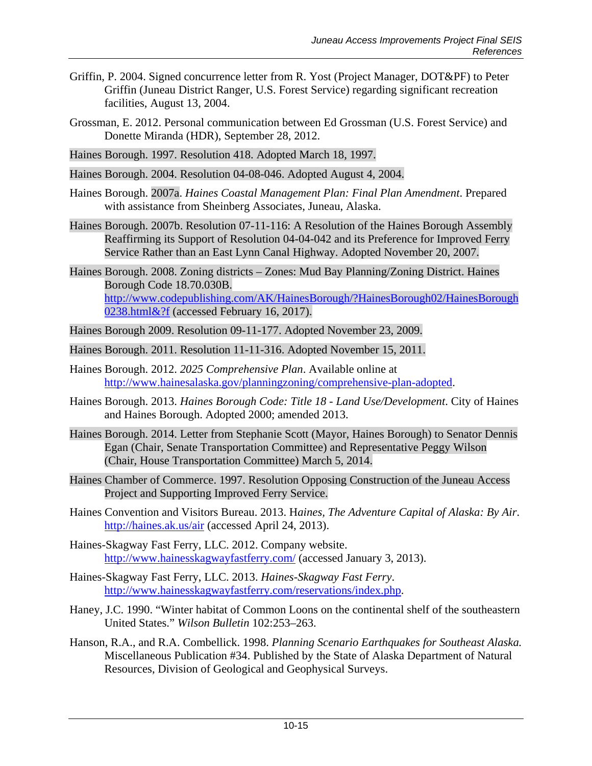- Griffin, P. 2004. Signed concurrence letter from R. Yost (Project Manager, DOT&PF) to Peter Griffin (Juneau District Ranger, U.S. Forest Service) regarding significant recreation facilities, August 13, 2004.
- Grossman, E. 2012. Personal communication between Ed Grossman (U.S. Forest Service) and Donette Miranda (HDR), September 28, 2012.

Haines Borough. 1997. Resolution 418. Adopted March 18, 1997.

Haines Borough. 2004. Resolution 04-08-046. Adopted August 4, 2004.

- Haines Borough. 2007a. *Haines Coastal Management Plan: Final Plan Amendment*. Prepared with assistance from Sheinberg Associates, Juneau, Alaska.
- Haines Borough. 2007b. Resolution 07-11-116: A Resolution of the Haines Borough Assembly Reaffirming its Support of Resolution 04-04-042 and its Preference for Improved Ferry Service Rather than an East Lynn Canal Highway. Adopted November 20, 2007.
- Haines Borough. 2008. Zoning districts Zones: Mud Bay Planning/Zoning District. Haines Borough Code 18.70.030B. [http://www.codepublishing.com/AK/HainesBorough/?HainesBorough02/HainesBorough](http://www.codepublishing.com/AK/HainesBorough/?HainesBorough02/HainesBorough0238.html&?f) [0238.html&?f](http://www.codepublishing.com/AK/HainesBorough/?HainesBorough02/HainesBorough0238.html&?f) (accessed February 16, 2017).
- Haines Borough 2009. Resolution 09-11-177. Adopted November 23, 2009.
- Haines Borough. 2011. Resolution 11-11-316. Adopted November 15, 2011.
- Haines Borough. 2012. *2025 Comprehensive Plan*. Available online at [http://www.hainesalaska.gov/planningzoning/comprehensive-plan-adopted.](http://www.hainesalaska.gov/planningzoning/comprehensive-plan-adopted)
- Haines Borough. 2013. *Haines Borough Code: Title 18 - Land Use/Development*. City of Haines and Haines Borough. Adopted 2000; amended 2013.
- Haines Borough. 2014. Letter from Stephanie Scott (Mayor, Haines Borough) to Senator Dennis Egan (Chair, Senate Transportation Committee) and Representative Peggy Wilson (Chair, House Transportation Committee) March 5, 2014.
- Haines Chamber of Commerce. 1997. Resolution Opposing Construction of the Juneau Access Project and Supporting Improved Ferry Service.
- Haines Convention and Visitors Bureau. 2013. H*aines, The Adventure Capital of Alaska: By Air*. <http://haines.ak.us/air> (accessed April 24, 2013).
- Haines-Skagway Fast Ferry, LLC. 2012. Company website. http://www.hainesskagwayfastferry.com/ (accessed January 3, 2013).
- Haines-Skagway Fast Ferry, LLC. 2013. *Haines-Skagway Fast Ferry*. [http://www.hainesskagwayfastferry.com/reservations/index.php.](http://www.hainesskagwayfastferry.com/reservations/index.php)
- Haney, J.C. 1990. "Winter habitat of Common [Loons on the continental shelf of the southeastern](http://bna.birds.cornell.edu/bna/species/313/biblio/bib065)  [United States."](http://bna.birds.cornell.edu/bna/species/313/biblio/bib065) *Wilson Bulletin* 102:253–263.
- Hanson, R.A., and R.A. Combellick. 1998. *Planning Scenario Earthquakes for Southeast Alaska.* Miscellaneous Publication #34. Published by the State of Alaska Department of Natural Resources, Division of Geological and Geophysical Surveys.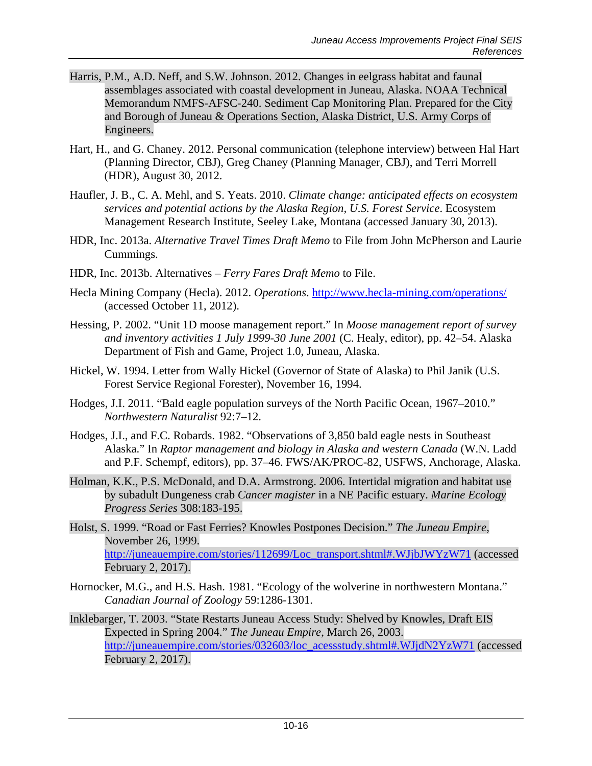- Harris, P.M., A.D. Neff, and S.W. Johnson. 2012. Changes in eelgrass habitat and faunal assemblages associated with coastal development in Juneau, Alaska. NOAA Technical Memorandum NMFS-AFSC-240. Sediment Cap Monitoring Plan. Prepared for the City and Borough of Juneau & Operations Section, Alaska District, U.S. Army Corps of Engineers.
- Hart, H., and G. Chaney. 2012. Personal communication (telephone interview) between Hal Hart (Planning Director, CBJ), Greg Chaney (Planning Manager, CBJ), and Terri Morrell (HDR), August 30, 2012.
- Haufler, J. B., C. A. Mehl, and S. Yeats. 2010. *Climate change: anticipated effects on ecosystem services and potential actions by the Alaska Region, U.S. Forest Service*. Ecosystem Management Research Institute, Seeley Lake, Montana (accessed January 30, 2013).
- HDR, Inc. 2013a. *Alternative Travel Times Draft Memo* to File from John McPherson and Laurie Cummings.
- HDR, Inc. 2013b. Alternatives *Ferry Fares Draft Memo* to File.
- Hecla Mining Company (Hecla). 2012. *Operations*.<http://www.hecla-mining.com/operations/> (accessed October 11, 2012).
- Hessing, P. 2002. "Unit 1D moose management report." In *Moose management report of survey and inventory activities 1 July 1999-30 June 2001* (C. Healy, editor), pp. 42–54. Alaska Department of Fish and Game, Project 1.0, Juneau, Alaska.
- Hickel, W. 1994. Letter from Wally Hickel (Governor of State of Alaska) to Phil Janik (U.S. Forest Service Regional Forester), November 16, 1994.
- Hodges, J.I. 2011. "Bald eagle population surveys of the North Pacific Ocean, 1967–2010." *Northwestern Naturalist* 92:7–12.
- Hodges, J.I., and F.C. Robards. 1982. "Observations of 3,850 bald eagle nests in Southeast Alaska." In *Raptor management and biology in Alaska and western Canada* (W.N. Ladd and P.F. Schempf, editors), pp. 37–46. FWS/AK/PROC-82, USFWS, Anchorage, Alaska.
- Holman, K.K., P.S. McDonald, and D.A. Armstrong. 2006. Intertidal migration and habitat use by subadult Dungeness crab *Cancer magister* in a NE Pacific estuary. *Marine Ecology Progress Series* 308:183-195.
- Holst, S. 1999. "Road or Fast Ferries? Knowles Postpones Decision." *The Juneau Empire*, November 26, 1999. [http://juneauempire.com/stories/112699/Loc\\_transport.shtml#.WJjbJWYzW71](http://juneauempire.com/stories/112699/Loc_transport.shtml%23.WJjbJWYzW71) (accessed February 2, 2017).
- Hornocker, M.G., and H.S. Hash. 1981. "Ecology of the wolverine in northwestern Montana." *Canadian Journal of Zoology* 59:1286-1301.
- Inklebarger, T. 2003. "State Restarts Juneau Access Study: Shelved by Knowles, Draft EIS Expected in Spring 2004." *The Juneau Empire*, March 26, 2003. [http://juneauempire.com/stories/032603/loc\\_acessstudy.shtml#.WJjdN2YzW71](http://juneauempire.com/stories/032603/loc_acessstudy.shtml%23.WJjdN2YzW71) (accessed February 2, 2017).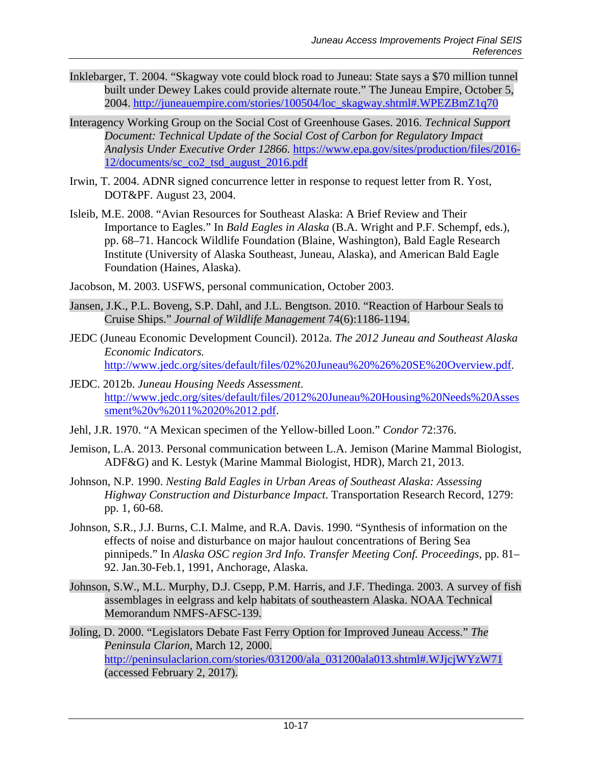- Inklebarger, T. 2004. "Skagway vote could block road to Juneau: State says a \$70 million tunnel built under Dewey Lakes could provide alternate route." The Juneau Empire, October 5, 2004. [http://juneauempire.com/stories/100504/loc\\_skagway.shtml#.WPEZBmZ1q70](http://juneauempire.com/stories/100504/loc_skagway.shtml%23.WPEZBmZ1q70)
- Interagency Working Group on the Social Cost of Greenhouse Gases. 2016. *Technical Support Document: Technical Update of the Social Cost of Carbon for Regulatory Impact Analysis Under Executive Order 12866.* [https://www.epa.gov/sites/production/files/2016-](https://www.epa.gov/sites/production/files/2016-12/documents/sc_co2_tsd_august_2016.pdf) [12/documents/sc\\_co2\\_tsd\\_august\\_2016.pdf](https://www.epa.gov/sites/production/files/2016-12/documents/sc_co2_tsd_august_2016.pdf)
- Irwin, T. 2004. ADNR signed concurrence letter in response to request letter from R. Yost, DOT&PF. August 23, 2004.
- Isleib, M.E. 2008. "Avian Resources for Southeast Alaska: A Brief Review and Their Importance to Eagles." In *Bald Eagles in Alaska* (B.A. Wright and P.F. Schempf, eds.), pp. 68–71. Hancock Wildlife Foundation (Blaine, Washington), Bald Eagle Research Institute (University of Alaska Southeast, Juneau, Alaska), and American Bald Eagle Foundation (Haines, Alaska).
- Jacobson, M. 2003. USFWS, personal communication, October 2003.
- Jansen, J.K., P.L. Boveng, S.P. Dahl, and J.L. Bengtson. 2010. "Reaction of Harbour Seals to Cruise Ships." *Journal of Wildlife Management* 74(6):1186-1194.
- JEDC (Juneau Economic Development Council). 2012a. *The 2012 Juneau and Southeast Alaska Economic Indicators.* [http://www.jedc.org/sites/default/files/02%20Juneau%20%26%20SE%20Overview.pdf.](http://www.jedc.org/sites/default/files/02%20Juneau%20%26%20SE%20Overview.pdf)
- JEDC. 2012b. *Juneau Housing Needs Assessment*. [http://www.jedc.org/sites/default/files/2012%20Juneau%20Housing%20Needs%20Asses](http://www.jedc.org/sites/default/files/2012%20Juneau%20Housing%20Needs%20Assessment%20v%2011%2020%2012.pdf) [sment%20v%2011%2020%2012.pdf.](http://www.jedc.org/sites/default/files/2012%20Juneau%20Housing%20Needs%20Assessment%20v%2011%2020%2012.pdf)
- Jehl, J.R. 1970. ["A Mexican specimen of the Yellow-billed Loon."](http://bna.birds.cornell.edu/bna/species/121/biblio/bib049) *Condor* 72:376.
- Jemison, L.A. 2013. Personal communication between L.A. Jemison (Marine Mammal Biologist, ADF&G) and K. Lestyk (Marine Mammal Biologist, HDR), March 21, 2013.
- Johnson, N.P. 1990. *Nesting Bald Eagles in Urban Areas of Southeast Alaska: Assessing Highway Construction and Disturbance Impact*. Transportation Research Record, 1279: pp. 1, 60-68.
- Johnson, S.R., J.J. Burns, C.I. Malme, and R.A. Davis. 1990. "Synthesis of information on the effects of noise and disturbance on major haulout concentrations of Bering Sea pinnipeds." In *Alaska OSC region 3rd Info. Transfer Meeting Conf. Proceedings,* pp. 81– 92. Jan.30-Feb.1, 1991, Anchorage, Alaska.
- Johnson, S.W., M.L. Murphy, D.J. Csepp, P.M. Harris, and J.F. Thedinga. 2003. A survey of fish assemblages in eelgrass and kelp habitats of southeastern Alaska. NOAA Technical Memorandum NMFS-AFSC-139.
- Joling, D. 2000. "Legislators Debate Fast Ferry Option for Improved Juneau Access." *The Peninsula Clarion*, March 12, 2000. [http://peninsulaclarion.com/stories/031200/ala\\_031200ala013.shtml#.WJjcjWYzW71](http://peninsulaclarion.com/stories/031200/ala_031200ala013.shtml%23.WJjcjWYzW71) (accessed February 2, 2017).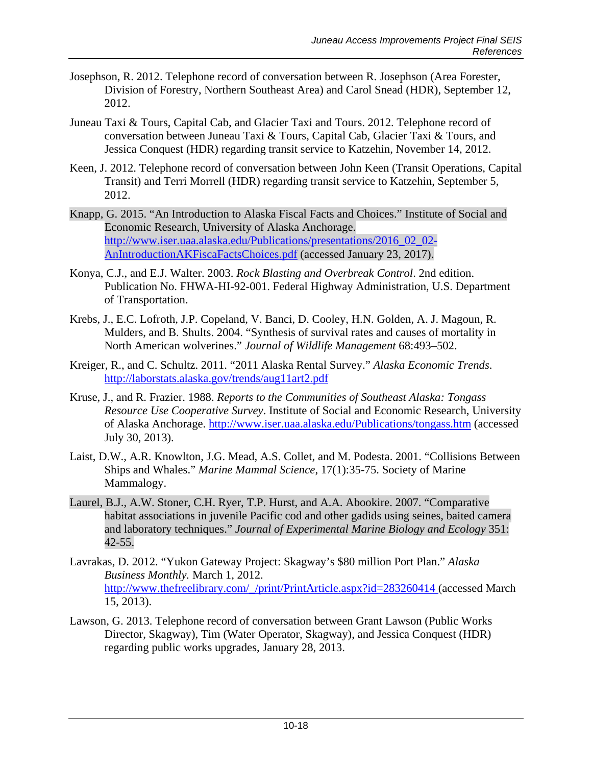- Josephson, R. 2012. Telephone record of conversation between R. Josephson (Area Forester, Division of Forestry, Northern Southeast Area) and Carol Snead (HDR), September 12, 2012.
- Juneau Taxi & Tours, Capital Cab, and Glacier Taxi and Tours. 2012. Telephone record of conversation between Juneau Taxi & Tours, Capital Cab, Glacier Taxi & Tours, and Jessica Conquest (HDR) regarding transit service to Katzehin, November 14, 2012.
- Keen, J. 2012. Telephone record of conversation between John Keen (Transit Operations, Capital Transit) and Terri Morrell (HDR) regarding transit service to Katzehin, September 5, 2012.
- Knapp, G. 2015. "An Introduction to Alaska Fiscal Facts and Choices." Institute of Social and Economic Research, University of Alaska Anchorage. [http://www.iser.uaa.alaska.edu/Publications/presentations/2016\\_02\\_02-](http://www.iser.uaa.alaska.edu/Publications/presentations/2016_02_02-AnIntroductionAKFiscaFactsChoices.pdf) [AnIntroductionAKFiscaFactsChoices.pdf](http://www.iser.uaa.alaska.edu/Publications/presentations/2016_02_02-AnIntroductionAKFiscaFactsChoices.pdf) (accessed January 23, 2017).
- Konya, C.J., and E.J. Walter. 2003. *Rock Blasting and Overbreak Control*. 2nd edition. Publication No. FHWA-HI-92-001. Federal Highway Administration, U.S. Department of Transportation.
- Krebs, J., E.C. Lofroth, J.P. Copeland, V. Banci, D. Cooley, H.N. Golden, A. J. Magoun, R. Mulders, and B. Shults. 2004. "Synthesis of survival rates and causes of mortality in North American wolverines." *Journal of Wildlife Management* 68:493–502.
- Kreiger, R., and C. Schultz. 2011. "2011 Alaska Rental Survey." *Alaska Economic Trends*. <http://laborstats.alaska.gov/trends/aug11art2.pdf>
- Kruse, J., and R. Frazier. 1988. *Reports to the Communities of Southeast Alaska: Tongass Resource Use Cooperative Survey*. Institute of Social and Economic Research, University of Alaska Anchorage.<http://www.iser.uaa.alaska.edu/Publications/tongass.htm> (accessed July 30, 2013).
- Laist, D.W., A.R. Knowlton, J.G. Mead, A.S. Collet, and M. Podesta. 2001. "Collisions Between Ships and Whales." *Marine Mammal Science*, 17(1):35-75. Society of Marine Mammalogy.
- Laurel, B.J., A.W. Stoner, C.H. Ryer, T.P. Hurst, and A.A. Abookire. 2007. "Comparative habitat associations in juvenile Pacific cod and other gadids using seines, baited camera and laboratory techniques." *Journal of Experimental Marine Biology and Ecology* 351: 42-55.
- Lavrakas, D. 2012. "Yukon Gateway Project: Skagway's \$80 million Port Plan." *Alaska Business Monthly.* March 1, 2012. [http://www.thefreelibrary.com/\\_/print/PrintArticle.aspx?id=283260414](http://www.thefreelibrary.com/_/print/PrintArticle.aspx?id=283260414) (accessed March 15, 2013).
- Lawson, G. 2013. Telephone record of conversation between Grant Lawson (Public Works Director, Skagway), Tim (Water Operator, Skagway), and Jessica Conquest (HDR) regarding public works upgrades, January 28, 2013.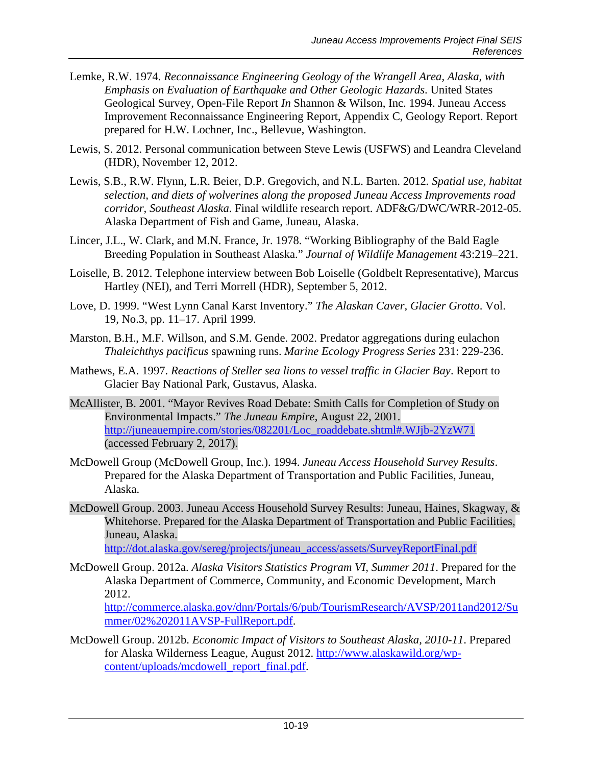- Lemke, R.W. 1974. *Reconnaissance Engineering Geology of the Wrangell Area, Alaska, with Emphasis on Evaluation of Earthquake and Other Geologic Hazards*. United States Geological Survey, Open-File Report *In* Shannon & Wilson, Inc. 1994. Juneau Access Improvement Reconnaissance Engineering Report, Appendix C, Geology Report. Report prepared for H.W. Lochner, Inc., Bellevue, Washington.
- Lewis, S. 2012. Personal communication between Steve Lewis (USFWS) and Leandra Cleveland (HDR), November 12, 2012.
- Lewis, S.B., R.W. Flynn, L.R. Beier, D.P. Gregovich, and N.L. Barten. 2012*. Spatial use, habitat selection, and diets of wolverines along the proposed Juneau Access Improvements road corridor, Southeast Alaska*. Final wildlife research report. ADF&G/DWC/WRR-2012-05. Alaska Department of Fish and Game, Juneau, Alaska.
- Lincer, J.L., W. Clark, and M.N. France, Jr. 1978. "Working Bibliography of the Bald Eagle Breeding Population in Southeast Alaska." *Journal of Wildlife Management* 43:219–221.
- Loiselle, B. 2012. Telephone interview between Bob Loiselle (Goldbelt Representative), Marcus Hartley (NEI), and Terri Morrell (HDR), September 5, 2012.
- Love, D. 1999. "West Lynn Canal Karst Inventory." *The Alaskan Caver, Glacier Grotto*. Vol. 19, No.3, pp. 11–17. April 1999.
- Marston, B.H., M.F. Willson, and S.M. Gende. 2002. Predator aggregations during eulachon *Thaleichthys pacificus* spawning runs. *Marine Ecology Progress Series* 231: 229-236.
- Mathews, E.A. 1997. *Reactions of Steller sea lions to vessel traffic in Glacier Bay*. Report to Glacier Bay National Park, Gustavus, Alaska.
- McAllister, B. 2001. "Mayor Revives Road Debate: Smith Calls for Completion of Study on Environmental Impacts." *The Juneau Empire*, August 22, 2001. [http://juneauempire.com/stories/082201/Loc\\_roaddebate.shtml#.WJjb-2YzW71](http://juneauempire.com/stories/082201/Loc_roaddebate.shtml%23.WJjb-2YzW71) (accessed February 2, 2017).
- McDowell Group (McDowell Group, Inc.). 1994. *Juneau Access Household Survey Results*. Prepared for the Alaska Department of Transportation and Public Facilities, Juneau, Alaska.
- McDowell Group. 2003. Juneau Access Household Survey Results: Juneau, Haines, Skagway, & Whitehorse. Prepared for the Alaska Department of Transportation and Public Facilities, Juneau, Alaska.
	- [http://dot.alaska.gov/sereg/projects/juneau\\_access/assets/SurveyReportFinal.pdf](http://dot.alaska.gov/sereg/projects/juneau_access/assets/SurveyReportFinal.pdf)
- McDowell Group. 2012a. *Alaska Visitors Statistics Program VI, Summer 2011*. Prepared for the Alaska Department of Commerce, Community, and Economic Development, March 2012.

[http://commerce.alaska.gov/dnn/Portals/6/pub/TourismResearch/AVSP/2011and2012/Su](http://commerce.alaska.gov/dnn/Portals/6/pub/TourismResearch/AVSP/2011and2012/Summer/02%202011AVSP-FullReport.pdf) [mmer/02%202011AVSP-FullReport.pdf.](http://commerce.alaska.gov/dnn/Portals/6/pub/TourismResearch/AVSP/2011and2012/Summer/02%202011AVSP-FullReport.pdf)

McDowell Group. 2012b. *Economic Impact of Visitors to Southeast Alaska, 2010-11*. Prepared for Alaska Wilderness League, August 2012. [http://www.alaskawild.org/wp](http://www.alaskawild.org/wp-content/uploads/mcdowell_report_final.pdf)[content/uploads/mcdowell\\_report\\_final.pdf.](http://www.alaskawild.org/wp-content/uploads/mcdowell_report_final.pdf)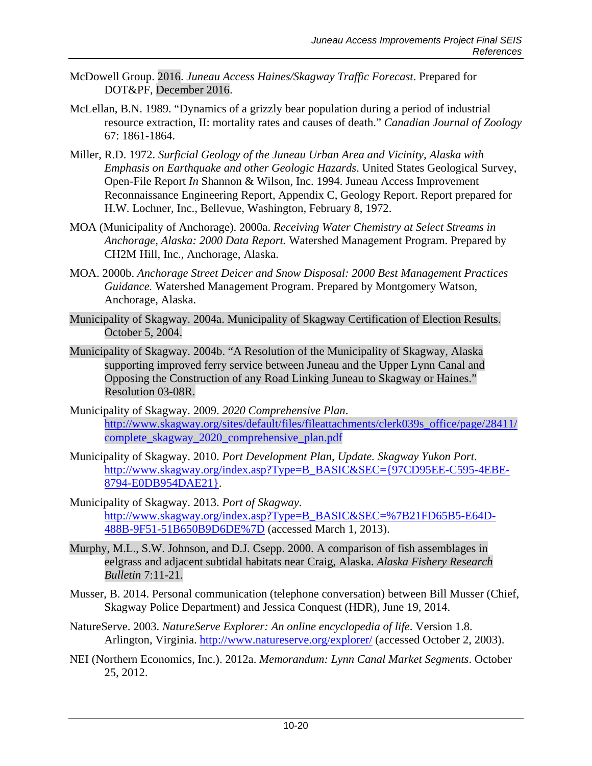- McDowell Group. 2016. *Juneau Access Haines/Skagway Traffic Forecast*. Prepared for DOT&PF, December 2016.
- McLellan, B.N. 1989. "Dynamics of a grizzly bear population during a period of industrial resource extraction, II: mortality rates and causes of death." *Canadian Journal of Zoology* 67: 1861-1864.
- Miller, R.D. 1972. *Surficial Geology of the Juneau Urban Area and Vicinity, Alaska with Emphasis on Earthquake and other Geologic Hazards*. United States Geological Survey, Open-File Report *In* Shannon & Wilson, Inc. 1994. Juneau Access Improvement Reconnaissance Engineering Report, Appendix C, Geology Report. Report prepared for H.W. Lochner, Inc., Bellevue, Washington, February 8, 1972.
- MOA (Municipality of Anchorage). 2000a. *Receiving Water Chemistry at Select Streams in Anchorage, Alaska: 2000 Data Report.* Watershed Management Program. Prepared by CH2M Hill, Inc., Anchorage, Alaska.
- MOA. 2000b. *Anchorage Street Deicer and Snow Disposal: 2000 Best Management Practices Guidance.* Watershed Management Program. Prepared by Montgomery Watson, Anchorage, Alaska.
- Municipality of Skagway. 2004a. Municipality of Skagway Certification of Election Results. October 5, 2004.
- Municipality of Skagway. 2004b. "A Resolution of the Municipality of Skagway, Alaska supporting improved ferry service between Juneau and the Upper Lynn Canal and Opposing the Construction of any Road Linking Juneau to Skagway or Haines." Resolution 03-08R.
- Municipality of Skagway. 2009. *2020 Comprehensive Plan*. [http://www.skagway.org/sites/default/files/fileattachments/clerk039s\\_office/page/28411/](http://www.skagway.org/sites/default/files/fileattachments/clerk039s_office/page/28411/complete_skagway_2020_comprehensive_plan.pdf) [complete\\_skagway\\_2020\\_comprehensive\\_plan.pdf](http://www.skagway.org/sites/default/files/fileattachments/clerk039s_office/page/28411/complete_skagway_2020_comprehensive_plan.pdf)
- Municipality of Skagway. 2010. *Port Development Plan, Update. Skagway Yukon Port*. [http://www.skagway.org/index.asp?Type=B\\_BASIC&SEC={97CD95EE-C595-4EBE-](http://www.skagway.org/index.asp?Type=B_BASIC&SEC=%7b97CD95EE-C595-4EBE-8794-E0DB954DAE21%7d)[8794-E0DB954DAE21}.](http://www.skagway.org/index.asp?Type=B_BASIC&SEC=%7b97CD95EE-C595-4EBE-8794-E0DB954DAE21%7d)
- Municipality of Skagway. 2013. *Port of Skagway*. [http://www.skagway.org/index.asp?Type=B\\_BASIC&SEC=%7B21FD65B5-E64D-](http://www.skagway.org/index.asp?Type=B_BASIC&SEC=%7B21FD65B5-E64D-488B-9F51-51B650B9D6DE%7D)[488B-9F51-51B650B9D6DE%7D](http://www.skagway.org/index.asp?Type=B_BASIC&SEC=%7B21FD65B5-E64D-488B-9F51-51B650B9D6DE%7D) (accessed March 1, 2013).
- Murphy, M.L., S.W. Johnson, and D.J. Csepp. 2000. A comparison of fish assemblages in eelgrass and adjacent subtidal habitats near Craig, Alaska. *Alaska Fishery Research Bulletin* 7:11-21.
- Musser, B. 2014. Personal communication (telephone conversation) between Bill Musser (Chief, Skagway Police Department) and Jessica Conquest (HDR), June 19, 2014.
- NatureServe. 2003. *NatureServe Explorer: An online encyclopedia of life*. Version 1.8. Arlington, Virginia.<http://www.natureserve.org/explorer/> (accessed October 2, 2003).
- NEI (Northern Economics, Inc.). 2012a. *Memorandum: Lynn Canal Market Segments*. October 25, 2012.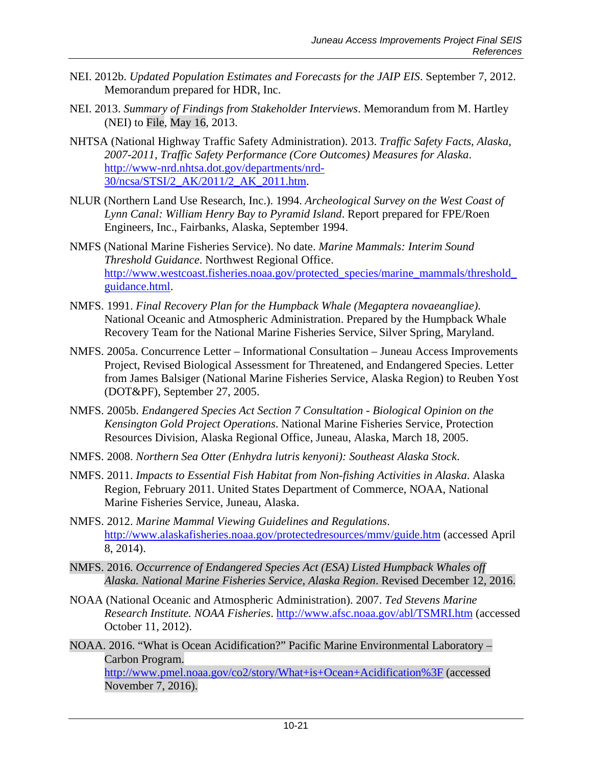- NEI. 2012b. *Updated Population Estimates and Forecasts for the JAIP EIS*. September 7, 2012. Memorandum prepared for HDR, Inc.
- NEI. 2013. *Summary of Findings from Stakeholder Interviews*. Memorandum from M. Hartley (NEI) to File, May 16, 2013.
- NHTSA (National Highway Traffic Safety Administration). 2013. *Traffic Safety Facts, Alaska, 2007-2011, Traffic Safety Performance (Core Outcomes) Measures for Alaska*. [http://www-nrd.nhtsa.dot.gov/departments/nrd-](http://www-nrd.nhtsa.dot.gov/departments/nrd-30/ncsa/STSI/2_AK/2011/2_AK_2011.htm)[30/ncsa/STSI/2\\_AK/2011/2\\_AK\\_2011.htm.](http://www-nrd.nhtsa.dot.gov/departments/nrd-30/ncsa/STSI/2_AK/2011/2_AK_2011.htm)
- NLUR (Northern Land Use Research, Inc.). 1994. *Archeological Survey on the West Coast of Lynn Canal: William Henry Bay to Pyramid Island*. Report prepared for FPE/Roen Engineers, Inc., Fairbanks, Alaska, September 1994.
- NMFS (National Marine Fisheries Service). No date. *Marine Mammals: Interim Sound Threshold Guidance*. Northwest Regional Office. [http://www.westcoast.fisheries.noaa.gov/protected\\_species/marine\\_mammals/threshold\\_](http://www.westcoast.fisheries.noaa.gov/protected_species/marine_mammals/threshold_guidance.html) [guidance.html.](http://www.westcoast.fisheries.noaa.gov/protected_species/marine_mammals/threshold_guidance.html)
- NMFS. 1991. *Final Recovery Plan for the Humpback Whale (Megaptera novaeangliae)*. National Oceanic and Atmospheric Administration. Prepared by the Humpback Whale Recovery Team for the National Marine Fisheries Service, Silver Spring, Maryland.
- NMFS. 2005a. Concurrence Letter Informational Consultation Juneau Access Improvements Project, Revised Biological Assessment for Threatened, and Endangered Species. Letter from James Balsiger (National Marine Fisheries Service, Alaska Region) to Reuben Yost (DOT&PF), September 27, 2005.
- NMFS. 2005b. *Endangered Species Act Section 7 Consultation - Biological Opinion on the Kensington Gold Project Operations*. National Marine Fisheries Service, Protection Resources Division, Alaska Regional Office, Juneau, Alaska, March 18, 2005.
- NMFS. 2008. *Northern Sea Otter (Enhydra lutris kenyoni): Southeast Alaska Stock*.
- NMFS. 2011. *Impacts to Essential Fish Habitat from Non-fishing Activities in Alaska*. Alaska Region, February 2011. United States Department of Commerce, NOAA, National Marine Fisheries Service, Juneau, Alaska.
- NMFS. 2012. *Marine Mammal Viewing Guidelines and Regulations*. <http://www.alaskafisheries.noaa.gov/protectedresources/mmv/guide.htm> (accessed April 8, 2014).
- NMFS. 2016. *Occurrence of Endangered Species Act (ESA) Listed Humpback Whales off Alaska. National Marine Fisheries Service, Alaska Region*. Revised December 12, 2016.
- NOAA (National Oceanic and Atmospheric Administration). 2007. *Ted Stevens Marine Research Institute. NOAA Fisheries*.<http://www.afsc.noaa.gov/abl/TSMRI.htm> (accessed October 11, 2012).
- NOAA. 2016. "What is Ocean Acidification?" Pacific Marine Environmental Laboratory Carbon Program. <http://www.pmel.noaa.gov/co2/story/What+is+Ocean+Acidification%3F> (accessed November 7, 2016).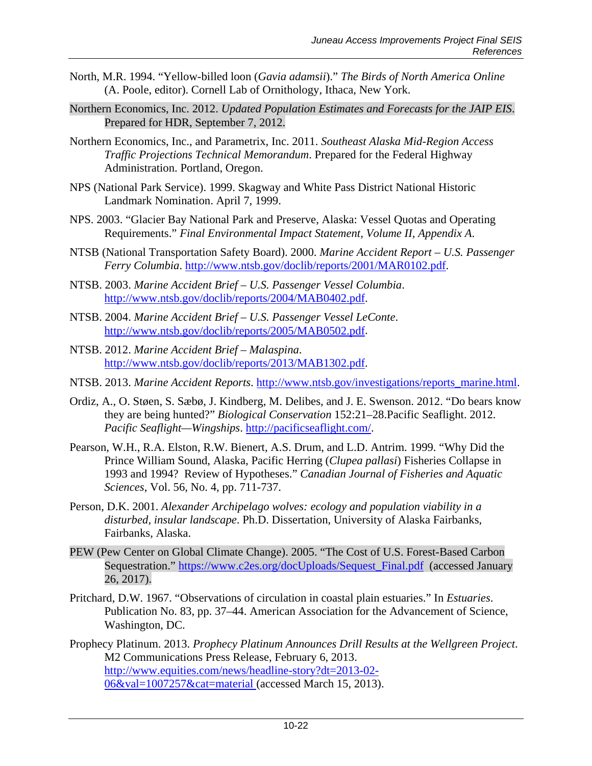- North, M.R. 1994. "Yellow-billed loon (*Gavia adamsii*)." *The Birds of North America Online* (A. Poole, editor). Cornell Lab of Ornithology, Ithaca, New York.
- Northern Economics, Inc. 2012. *Updated Population Estimates and Forecasts for the JAIP EIS*. Prepared for HDR, September 7, 2012.
- Northern Economics, Inc., and Parametrix, Inc. 2011. *Southeast Alaska Mid-Region Access Traffic Projections Technical Memorandum*. Prepared for the Federal Highway Administration. Portland, Oregon.
- NPS (National Park Service). 1999. Skagway and White Pass District National Historic Landmark Nomination. April 7, 1999.
- NPS. 2003. "Glacier Bay National Park and Preserve, Alaska: Vessel Quotas and Operating Requirements." *Final Environmental Impact Statement, Volume II, Appendix A*.
- NTSB (National Transportation Safety Board). 2000. *Marine Accident Report – U.S. Passenger Ferry Columbia*. [http://www.ntsb.gov/doclib/reports/2001/MAR0102.pdf.](http://www.ntsb.gov/doclib/reports/2001/MAR0102.pdf)
- NTSB. 2003. *Marine Accident Brief – U.S. Passenger Vessel Columbia*. [http://www.ntsb.gov/doclib/reports/2004/MAB0402.pdf.](http://www.ntsb.gov/doclib/reports/2004/MAB0402.pdf)
- NTSB. 2004. *Marine Accident Brief – U.S. Passenger Vessel LeConte*. [http://www.ntsb.gov/doclib/reports/2005/MAB0502.pdf.](http://www.ntsb.gov/doclib/reports/2005/MAB0502.pdf)
- NTSB. 2012. *Marine Accident Brief – Malaspina*. [http://www.ntsb.gov/doclib/reports/2013/MAB1302.pdf.](http://www.ntsb.gov/doclib/reports/2013/MAB1302.pdf)
- NTSB. 2013. *Marine Accident Reports*. [http://www.ntsb.gov/investigations/reports\\_marine.html.](http://www.ntsb.gov/investigations/reports_marine.html)
- Ordiz, A., O. Støen, S. Sæbø, J. Kindberg, M. Delibes, and J. E. Swenson. 2012. ["Do bears know](http://dx.doi.org/10.1016/j.biocon.2012.04.006)  [they are being hunted?](http://dx.doi.org/10.1016/j.biocon.2012.04.006)" *Biological Conservation* 152:21–28.Pacific Seaflight. 2012. *Pacific Seaflight—Wingships*. [http://pacificseaflight.com/.](http://pacificseaflight.com/)
- Pearson, W.H., R.A. Elston, R.W. Bienert, A.S. Drum, and L.D. Antrim. 1999. "Why Did the Prince William Sound, Alaska, Pacific Herring (*Clupea pallasi*) Fisheries Collapse in 1993 and 1994? Review of Hypotheses." *Canadian Journal of Fisheries and Aquatic Sciences*, Vol. 56, No. 4, pp. 711-737.
- Person, D.K. 2001. *Alexander Archipelago wolves: ecology and population viability in a disturbed, insular landscape*. Ph.D. Dissertation, University of Alaska Fairbanks, Fairbanks, Alaska.
- PEW (Pew Center on Global Climate Change). 2005. "The Cost of U.S. Forest-Based Carbon Sequestration." [https://www.c2es.org/docUploads/Sequest\\_Final.pdf](https://www.c2es.org/docUploads/Sequest_Final.pdf) (accessed January 26, 2017).
- Pritchard, D.W. 1967. "Observations of circulation in coastal plain estuaries." In *Estuaries*. Publication No. 83, pp. 37–44. American Association for the Advancement of Science, Washington, DC.
- Prophecy Platinum. 2013. *Prophecy Platinum Announces Drill Results at the Wellgreen Project*. M2 Communications Press Release, February 6, 2013. [http://www.equities.com/news/headline-story?dt=2013-02-](http://www.equities.com/news/headline-story?dt=2013-02-06&val=1007257&cat=material) [06&val=1007257&cat=material](http://www.equities.com/news/headline-story?dt=2013-02-06&val=1007257&cat=material) (accessed March 15, 2013).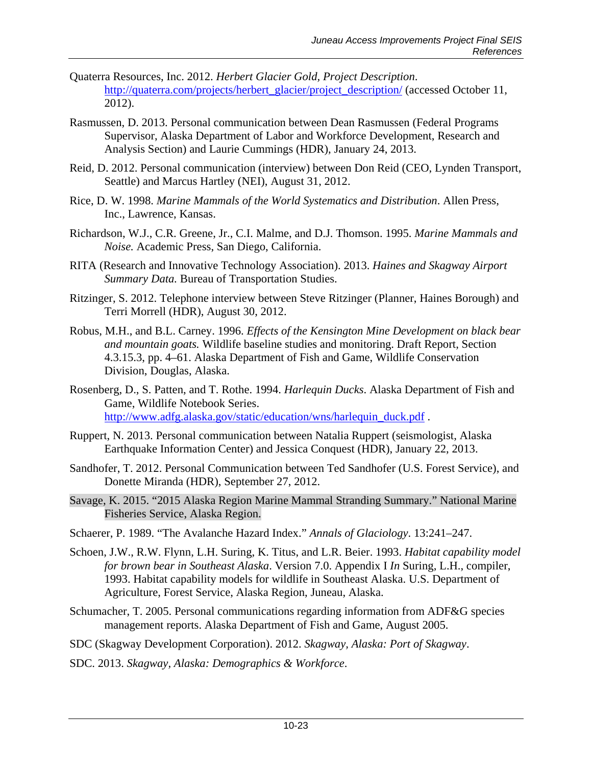- Quaterra Resources, Inc. 2012. *Herbert Glacier Gold, Project Description*. [http://quaterra.com/projects/herbert\\_glacier/project\\_description/](http://quaterra.com/projects/herbert_glacier/project_description/) (accessed October 11, 2012).
- Rasmussen, D. 2013. Personal communication between Dean Rasmussen (Federal Programs Supervisor, Alaska Department of Labor and Workforce Development, Research and Analysis Section) and Laurie Cummings (HDR), January 24, 2013.
- Reid, D. 2012. Personal communication (interview) between Don Reid (CEO, Lynden Transport, Seattle) and Marcus Hartley (NEI), August 31, 2012.
- Rice, D. W. 1998. *Marine Mammals of the World Systematics and Distribution*. Allen Press, Inc., Lawrence, Kansas.
- Richardson, W.J., C.R. Greene, Jr., C.I. Malme, and D.J. Thomson. 1995. *Marine Mammals and Noise.* Academic Press, San Diego, California.
- RITA (Research and Innovative Technology Association). 2013. *Haines and Skagway Airport Summary Data.* Bureau of Transportation Studies.
- Ritzinger, S. 2012. Telephone interview between Steve Ritzinger (Planner, Haines Borough) and Terri Morrell (HDR), August 30, 2012.
- Robus, M.H., and B.L. Carney. 1996. *Effects of the Kensington Mine Development on black bear and mountain goats.* Wildlife baseline studies and monitoring. Draft Report, Section 4.3.15.3, pp. 4–61. Alaska Department of Fish and Game, Wildlife Conservation Division, Douglas, Alaska.
- Rosenberg, D., S. Patten, and T. Rothe. 1994. *Harlequin Ducks*. Alaska Department of Fish and Game, Wildlife Notebook Series. [http://www.adfg.alaska.gov/static/education/wns/harlequin\\_duck.pdf](http://www.adfg.alaska.gov/static/education/wns/harlequin_duck.pdf) .
- Ruppert, N. 2013. Personal communication between Natalia Ruppert (seismologist, Alaska Earthquake Information Center) and Jessica Conquest (HDR), January 22, 2013.
- Sandhofer, T. 2012. Personal Communication between Ted Sandhofer (U.S. Forest Service), and Donette Miranda (HDR), September 27, 2012.
- Savage, K. 2015. "2015 Alaska Region Marine Mammal Stranding Summary." National Marine Fisheries Service, Alaska Region.
- Schaerer, P. 1989. "The Avalanche Hazard Index." *Annals of Glaciology*. 13:241–247.
- Schoen, J.W., R.W. Flynn, L.H. Suring, K. Titus, and L.R. Beier. 1993. *Habitat capability model for brown bear in Southeast Alaska*. Version 7.0. Appendix I *In* Suring, L.H., compiler, 1993. Habitat capability models for wildlife in Southeast Alaska. U.S. Department of Agriculture, Forest Service, Alaska Region, Juneau, Alaska.
- Schumacher, T. 2005. Personal communications regarding information from ADF&G species management reports. Alaska Department of Fish and Game, August 2005.
- SDC (Skagway Development Corporation). 2012. *Skagway, Alaska: Port of Skagway*.
- SDC. 2013. *Skagway, Alaska: Demographics & Workforce*.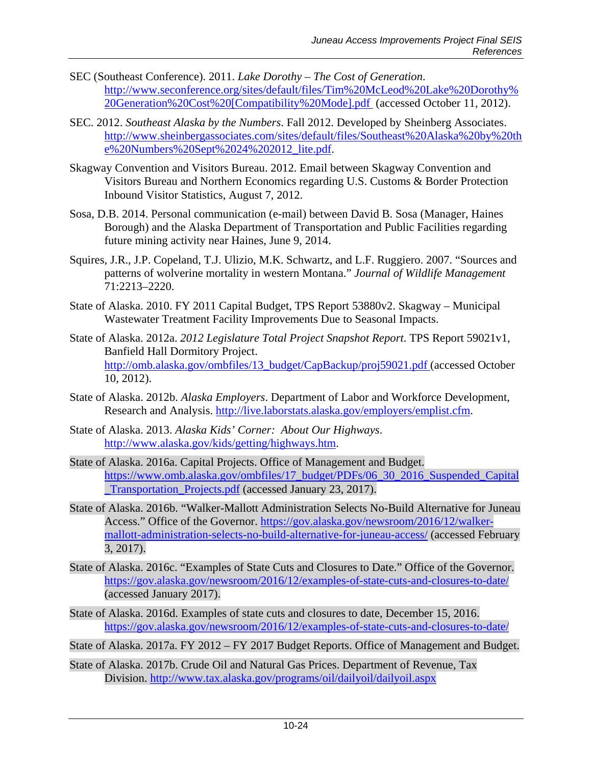- SEC (Southeast Conference). 2011. *Lake Dorothy – The Cost of Generation*. [http://www.seconference.org/sites/default/files/Tim%20McLeod%20Lake%20Dorothy%](http://www.seconference.org/sites/default/files/Tim%20McLeod%20Lake%20Dorothy%20Generation%20Cost%20%5bCompatibility%20Mode%5d.pdf) [20Generation%20Cost%20\[Compatibility%20Mode\].pdf](http://www.seconference.org/sites/default/files/Tim%20McLeod%20Lake%20Dorothy%20Generation%20Cost%20%5bCompatibility%20Mode%5d.pdf) (accessed October 11, 2012).
- SEC. 2012. *Southeast Alaska by the Numbers*. Fall 2012. Developed by Sheinberg Associates. [http://www.sheinbergassociates.com/sites/default/files/Southeast%20Alaska%20by%20th](http://www.sheinbergassociates.com/sites/default/files/Southeast%20Alaska%20by%20the%20Numbers%20Sept%2024%202012_lite.pdf) [e%20Numbers%20Sept%2024%202012\\_lite.pdf.](http://www.sheinbergassociates.com/sites/default/files/Southeast%20Alaska%20by%20the%20Numbers%20Sept%2024%202012_lite.pdf)
- Skagway Convention and Visitors Bureau. 2012. Email between Skagway Convention and Visitors Bureau and Northern Economics regarding U.S. Customs & Border Protection Inbound Visitor Statistics, August 7, 2012.
- Sosa, D.B. 2014. Personal communication (e-mail) between David B. Sosa (Manager, Haines Borough) and the Alaska Department of Transportation and Public Facilities regarding future mining activity near Haines, June 9, 2014.
- Squires, J.R., J.P. Copeland, T.J. Ulizio, M.K. Schwartz, and L.F. Ruggiero. 2007. "Sources and patterns of wolverine mortality in western Montana." *Journal of Wildlife Management* 71:2213–2220.
- State of Alaska. 2010. FY 2011 Capital Budget, TPS Report 53880v2. Skagway Municipal Wastewater Treatment Facility Improvements Due to Seasonal Impacts.
- State of Alaska. 2012a. *2012 Legislature Total Project Snapshot Report*. TPS Report 59021v1, Banfield Hall Dormitory Project. [http://omb.alaska.gov/ombfiles/13\\_budget/CapBackup/proj59021.pdf](http://omb.alaska.gov/ombfiles/13_budget/CapBackup/proj59021.pdf) (accessed October 10, 2012).
- State of Alaska. 2012b. *Alaska Employers*. Department of Labor and Workforce Development, Research and Analysis. [http://live.laborstats.alaska.gov/employers/emplist.cfm.](http://live.laborstats.alaska.gov/employers/emplist.cfm)
- State of Alaska. 2013. *Alaska Kids' Corner: About Our Highways*. [http://www.alaska.gov/kids/getting/highways.htm.](http://www.alaska.gov/kids/getting/highways.htm)
- State of Alaska. 2016a. Capital Projects. Office of Management and Budget. [https://www.omb.alaska.gov/ombfiles/17\\_budget/PDFs/06\\_30\\_2016\\_Suspended\\_Capital](https://www.omb.alaska.gov/ombfiles/17_budget/PDFs/06_30_2016_Suspended_Capital_Transportation_Projects.pdf) [\\_Transportation\\_Projects.pdf](https://www.omb.alaska.gov/ombfiles/17_budget/PDFs/06_30_2016_Suspended_Capital_Transportation_Projects.pdf) (accessed January 23, 2017).
- State of Alaska. 2016b. "Walker-Mallott Administration Selects No-Build Alternative for Juneau Access." Office of the Governor. [https://gov.alaska.gov/newsroom/2016/12/walker](https://gov.alaska.gov/newsroom/2016/12/walker-mallott-administration-selects-no-build-alternative-for-juneau-access/)[mallott-administration-selects-no-build-alternative-for-juneau-access/](https://gov.alaska.gov/newsroom/2016/12/walker-mallott-administration-selects-no-build-alternative-for-juneau-access/) (accessed February 3, 2017).
- State of Alaska. 2016c. "Examples of State Cuts and Closures to Date." Office of the Governor. <https://gov.alaska.gov/newsroom/2016/12/examples-of-state-cuts-and-closures-to-date/> (accessed January 2017).
- State of Alaska. 2016d. Examples of state cuts and closures to date, December 15, 2016. <https://gov.alaska.gov/newsroom/2016/12/examples-of-state-cuts-and-closures-to-date/>
- State of Alaska. 2017a. FY 2012 FY 2017 Budget Reports. Office of Management and Budget.
- State of Alaska. 2017b. Crude Oil and Natural Gas Prices. Department of Revenue, Tax Division.<http://www.tax.alaska.gov/programs/oil/dailyoil/dailyoil.aspx>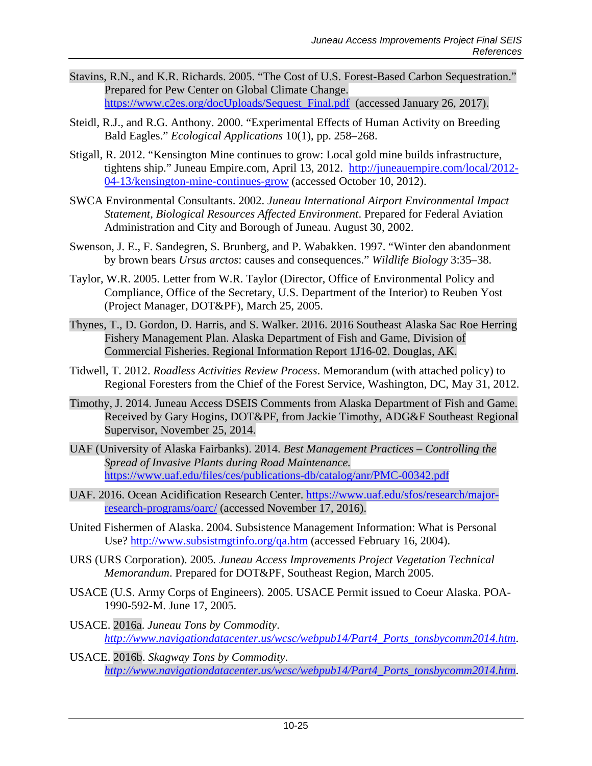- Stavins, R.N., and K.R. Richards. 2005. "The Cost of U.S. Forest-Based Carbon Sequestration." Prepared for Pew Center on Global Climate Change. [https://www.c2es.org/docUploads/Sequest\\_Final.pdf](https://www.c2es.org/docUploads/Sequest_Final.pdf) (accessed January 26, 2017).
- Steidl, R.J., and R.G. Anthony. 2000. "Experimental Effects of Human Activity on Breeding Bald Eagles." *Ecological Applications* 10(1), pp. 258–268.
- Stigall, R. 2012. "Kensington Mine continues to grow: Local gold mine builds infrastructure, tightens ship." Juneau Empire.com, April 13, 2012. [http://juneauempire.com/local/2012-](http://juneauempire.com/local/2012-04-13/kensington-mine-continues-grow) [04-13/kensington-mine-continues-grow](http://juneauempire.com/local/2012-04-13/kensington-mine-continues-grow) (accessed October 10, 2012).
- SWCA Environmental Consultants. 2002. *Juneau International Airport Environmental Impact Statement, Biological Resources Affected Environment*. Prepared for Federal Aviation Administration and City and Borough of Juneau. August 30, 2002.
- Swenson, J. E., F. Sandegren, S. Brunberg, and P. Wabakken. 1997. "Winter den abandonment by brown bears *Ursus arctos*: causes and consequences." *Wildlife Biology* 3:35–38.
- Taylor, W.R. 2005. Letter from W.R. Taylor (Director, Office of Environmental Policy and Compliance, Office of the Secretary, U.S. Department of the Interior) to Reuben Yost (Project Manager, DOT&PF), March 25, 2005.
- Thynes, T., D. Gordon, D. Harris, and S. Walker. 2016. 2016 Southeast Alaska Sac Roe Herring Fishery Management Plan. Alaska Department of Fish and Game, Division of Commercial Fisheries. Regional Information Report 1J16-02. Douglas, AK.
- Tidwell, T. 2012. *Roadless Activities Review Process*. Memorandum (with attached policy) to Regional Foresters from the Chief of the Forest Service, Washington, DC, May 31, 2012.
- Timothy, J. 2014. Juneau Access DSEIS Comments from Alaska Department of Fish and Game. Received by Gary Hogins, DOT&PF, from Jackie Timothy, ADG&F Southeast Regional Supervisor, November 25, 2014.
- UAF (University of Alaska Fairbanks). 2014. *Best Management Practices – Controlling the Spread of Invasive Plants during Road Maintenance.* <https://www.uaf.edu/files/ces/publications-db/catalog/anr/PMC-00342.pdf>
- UAF. 2016. Ocean Acidification Research Center. [https://www.uaf.edu/sfos/research/major](https://www.uaf.edu/sfos/research/major-research-programs/oarc/)[research-programs/oarc/](https://www.uaf.edu/sfos/research/major-research-programs/oarc/) (accessed November 17, 2016).
- United Fishermen of Alaska. 2004. Subsistence Management Information: What is Personal Use?<http://www.subsistmgtinfo.org/qa.htm> (accessed February 16, 2004).
- URS (URS Corporation). 2005*. Juneau Access Improvements Project Vegetation Technical Memorandum*. Prepared for DOT&PF, Southeast Region, March 2005.
- USACE (U.S. Army Corps of Engineers). 2005. USACE Permit issued to Coeur Alaska. POA-1990-592-M. June 17, 2005.
- USACE. 2016a. *Juneau Tons by Commodity*. *[http://www.navigationdatacenter.us/wcsc/webpub14/Part4\\_Ports\\_tonsbycomm2014.htm](http://www.navigationdatacenter.us/wcsc/webpub14/Part4_Ports_tonsbycomm2014.htm)*.
- USACE. 2016b. *Skagway Tons by Commodity*. *[http://www.navigationdatacenter.us/wcsc/webpub14/Part4\\_Ports\\_tonsbycomm2014.htm](http://www.navigationdatacenter.us/wcsc/webpub14/Part4_Ports_tonsbycomm2014.htm)*.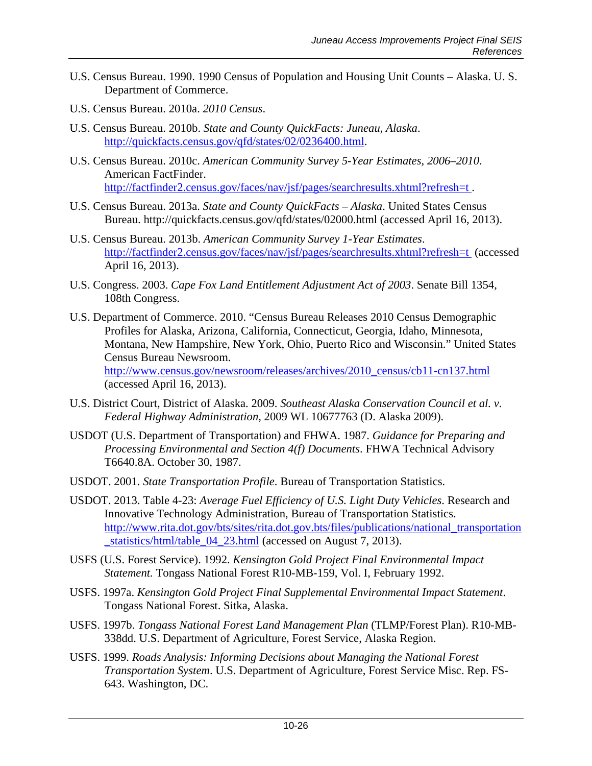- U.S. Census Bureau. 1990. 1990 Census of Population and Housing Unit Counts Alaska. U. S. Department of Commerce.
- U.S. Census Bureau. 2010a. *2010 Census*.
- U.S. Census Bureau. 2010b. *State and County QuickFacts: Juneau, Alaska*. [http://quickfacts.census.gov/qfd/states/02/0236400.html.](http://quickfacts.census.gov/qfd/states/02/0236400.html)
- U.S. Census Bureau. 2010c. *American Community Survey 5-Year Estimates, 2006–2010*. American FactFinder. <http://factfinder2.census.gov/faces/nav/jsf/pages/searchresults.xhtml?refresh=t>.
- U.S. Census Bureau. 2013a. *State and County QuickFacts – Alaska*. United States Census Bureau.<http://quickfacts.census.gov/qfd/states/02000.html> (accessed April 16, 2013).
- U.S. Census Bureau. 2013b. *American Community Survey 1-Year Estimates*. [http://factfinder2.census.gov/faces/nav/jsf/pages/searchresults.xhtml?refresh=t](http://factfinder2.census.gov/faces/nav/jsf/pages/searchresults.xhtml?refresh=t%20) (accessed April 16, 2013).
- U.S. Congress. 2003. *Cape Fox Land Entitlement Adjustment Act of 2003*. Senate Bill 1354, 108th Congress.
- U.S. Department of Commerce. 2010. "Census Bureau Releases 2010 Census Demographic Profiles for Alaska, Arizona, California, Connecticut, Georgia, Idaho, Minnesota, Montana, New Hampshire, New York, Ohio, Puerto Rico and Wisconsin." United States Census Bureau Newsroom. [http://www.census.gov/newsroom/releases/archives/2010\\_census/cb11-cn137.html](http://www.census.gov/newsroom/releases/archives/2010_census/cb11-cn137.html) (accessed April 16, 2013).
- U.S. District Court, District of Alaska. 2009. *Southeast Alaska Conservation Council et al. v. Federal Highway Administration,* 2009 WL 10677763 (D. Alaska 2009).
- USDOT (U.S. Department of Transportation) and FHWA. 1987. *Guidance for Preparing and Processing Environmental and Section 4(f) Documents*. FHWA Technical Advisory T6640.8A. October 30, 1987.
- USDOT. 2001. *State Transportation Profile*. Bureau of Transportation Statistics.
- USDOT. 2013. Table 4-23: *Average Fuel Efficiency of U.S. Light Duty Vehicles*. Research and Innovative Technology Administration, Bureau of Transportation Statistics. http://www.rita.dot.gov/bts/sites/rita.dot.gov.bts/files/publications/national\_transportation \_statistics/html/table\_04\_23.html (accessed on August 7, 2013).
- USFS (U.S. Forest Service). 1992. *Kensington Gold Project Final Environmental Impact Statement.* Tongass National Forest R10-MB-159, Vol. I, February 1992.
- USFS. 1997a. *Kensington Gold Project Final Supplemental Environmental Impact Statement*. Tongass National Forest. Sitka, Alaska.
- USFS. 1997b. *Tongass National Forest Land Management Plan* (TLMP/Forest Plan). R10-MB-338dd. U.S. Department of Agriculture, Forest Service, Alaska Region.
- USFS. 1999. *Roads Analysis: Informing Decisions about Managing the National Forest Transportation System*. U.S. Department of Agriculture, Forest Service Misc. Rep. FS-643. Washington, DC.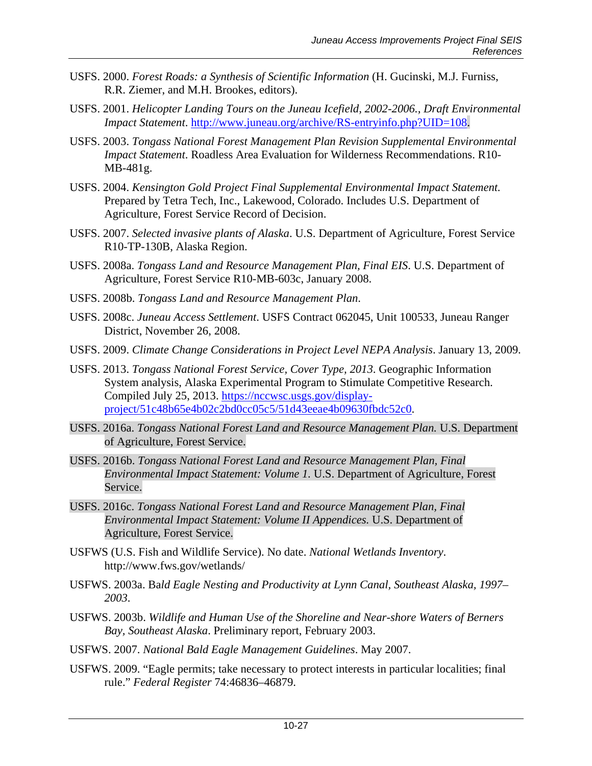- USFS. 2000. *Forest Roads: a Synthesis of Scientific Information* (H. Gucinski, M.J. Furniss, R.R. Ziemer, and M.H. Brookes, editors).
- USFS. 2001. *Helicopter Landing Tours on the Juneau Icefield, 2002-2006., Draft Environmental Impact Statement*. [http://www.juneau.org/archive/RS-entryinfo.php?UID=108.](http://www.juneau.org/archive/RS-entryinfo.php?UID=108)
- USFS. 2003. *Tongass National Forest Management Plan Revision Supplemental Environmental Impact Statement*. Roadless Area Evaluation for Wilderness Recommendations. R10- MB-481g.
- USFS. 2004. *Kensington Gold Project Final Supplemental Environmental Impact Statement.*  Prepared by Tetra Tech, Inc., Lakewood, Colorado. Includes U.S. Department of Agriculture, Forest Service Record of Decision.
- USFS. 2007. *Selected invasive plants of Alaska*. U.S. Department of Agriculture, Forest Service R10-TP-130B, Alaska Region.
- USFS. 2008a. *Tongass Land and Resource Management Plan, Final EIS*. U.S. Department of Agriculture, Forest Service R10-MB-603c, January 2008.
- USFS. 2008b. *Tongass Land and Resource Management Plan*.
- USFS. 2008c. *Juneau Access Settlement*. USFS Contract 062045, Unit 100533, Juneau Ranger District, November 26, 2008.
- USFS. 2009. *Climate Change Considerations in Project Level NEPA Analysis*. January 13, 2009.
- USFS. 2013. *Tongass National Forest Service, Cover Type, 2013*. Geographic Information System analysis, Alaska Experimental Program to Stimulate Competitive Research. Compiled July 25, 2013. [https://nccwsc.usgs.gov/display](https://nccwsc.usgs.gov/display-project/51c48b65e4b02c2bd0cc05c5/51d43eeae4b09630fbdc52c0)[project/51c48b65e4b02c2bd0cc05c5/51d43eeae4b09630fbdc52c0.](https://nccwsc.usgs.gov/display-project/51c48b65e4b02c2bd0cc05c5/51d43eeae4b09630fbdc52c0)
- USFS. 2016a. *Tongass National Forest Land and Resource Management Plan.* U.S. Department of Agriculture, Forest Service.
- USFS. 2016b. *Tongass National Forest Land and Resource Management Plan, Final Environmental Impact Statement: Volume 1.* U.S. Department of Agriculture, Forest Service.
- USFS. 2016c. *Tongass National Forest Land and Resource Management Plan, Final Environmental Impact Statement: Volume II Appendices.* U.S. Department of Agriculture, Forest Service.
- USFWS (U.S. Fish and Wildlife Service). No date. *National Wetlands Inventory*. <http://www.fws.gov/wetlands/>
- USFWS. 2003a. Ba*ld Eagle Nesting and Productivity at Lynn Canal, Southeast Alaska, 1997– 2003*.
- USFWS. 2003b. *Wildlife and Human Use of the Shoreline and Near-shore Waters of Berners Bay, Southeast Alaska*. Preliminary report, February 2003.
- USFWS. 2007. *National Bald Eagle Management Guidelines*. May 2007.
- USFWS. 2009. "Eagle permits; take necessary to protect interests in particular localities; final rule." *Federal Register* 74:46836–46879.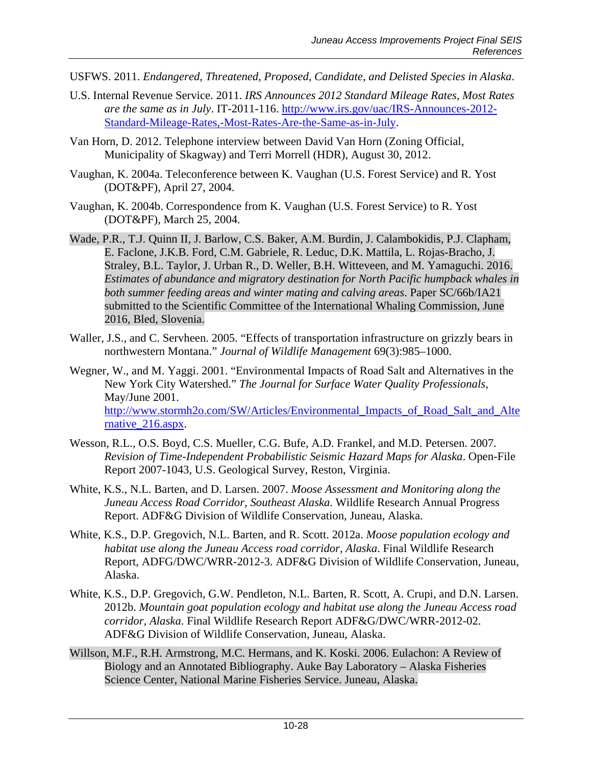- USFWS. 2011. *Endangered, Threatened, Proposed, Candidate, and Delisted Species in Alaska*.
- U.S. Internal Revenue Service. 2011. *IRS Announces 2012 Standard Mileage Rates, Most Rates are the same as in July*. IT-2011-116. [http://www.irs.gov/uac/IRS-Announces-2012-](http://www.irs.gov/uac/IRS-Announces-2012-Standard-Mileage-Rates,-Most-Rates-Are-the-Same-as-in-July) [Standard-Mileage-Rates,-Most-Rates-Are-the-Same-as-in-July.](http://www.irs.gov/uac/IRS-Announces-2012-Standard-Mileage-Rates,-Most-Rates-Are-the-Same-as-in-July)
- Van Horn, D. 2012. Telephone interview between David Van Horn (Zoning Official, Municipality of Skagway) and Terri Morrell (HDR), August 30, 2012.
- Vaughan, K. 2004a. Teleconference between K. Vaughan (U.S. Forest Service) and R. Yost (DOT&PF), April 27, 2004.
- Vaughan, K. 2004b. Correspondence from K. Vaughan (U.S. Forest Service) to R. Yost (DOT&PF), March 25, 2004.
- Wade, P.R., T.J. Quinn II, J. Barlow, C.S. Baker, A.M. Burdin, J. Calambokidis, P.J. Clapham, E. Faclone, J.K.B. Ford, C.M. Gabriele, R. Leduc, D.K. Mattila, L. Rojas-Bracho, J. Straley, B.L. Taylor, J. Urban R., D. Weller, B.H. Witteveen, and M. Yamaguchi. 2016. *Estimates of abundance and migratory destination for North Pacific humpback whales in both summer feeding areas and winter mating and calving areas*. Paper SC/66b/IA21 submitted to the Scientific Committee of the International Whaling Commission, June 2016, Bled, Slovenia.
- Waller, J.S., and C. Servheen. 2005. "Effects of transportation infrastructure on grizzly bears in northwestern Montana." *Journal of Wildlife Management* 69(3):985–1000.
- Wegner, W., and M. Yaggi. 2001. "Environmental Impacts of Road Salt and Alternatives in the New York City Watershed." *The Journal for Surface Water Quality Professionals*, May/June 2001. [http://www.stormh2o.com/SW/Articles/Environmental\\_Impacts\\_of\\_Road\\_Salt\\_and\\_Alte](http://www.stormh2o.com/SW/Articles/Environmental_Impacts_of_Road_Salt_and_Alternative_216.aspx) [rnative\\_216.aspx.](http://www.stormh2o.com/SW/Articles/Environmental_Impacts_of_Road_Salt_and_Alternative_216.aspx)
- Wesson, R.L., O.S. Boyd, C.S. Mueller, C.G. Bufe, A.D. Frankel, and M.D. Petersen. 2007. *Revision of Time-Independent Probabilistic Seismic Hazard Maps for Alaska*. Open-File Report 2007-1043, U.S. Geological Survey, Reston, Virginia.
- White, K.S., N.L. Barten, and D. Larsen. 2007. *Moose Assessment and Monitoring along the Juneau Access Road Corridor, Southeast Alaska*. Wildlife Research Annual Progress Report. ADF&G Division of Wildlife Conservation, Juneau, Alaska.
- White, K.S., D.P. Gregovich, N.L. Barten, and R. Scott. 2012a. *Moose population ecology and habitat use along the Juneau Access road corridor, Alaska*. Final Wildlife Research Report, ADFG/DWC/WRR-2012-3. ADF&G Division of Wildlife Conservation, Juneau, Alaska.
- White, K.S., D.P. Gregovich, G.W. Pendleton, N.L. Barten, R. Scott, A. Crupi, and D.N. Larsen. 2012b. *Mountain goat population ecology and habitat use along the Juneau Access road corridor, Alaska*. Final Wildlife Research Report ADF&G/DWC/WRR-2012-02. ADF&G Division of Wildlife Conservation, Juneau, Alaska.
- Willson, M.F., R.H. Armstrong, M.C. Hermans, and K. Koski. 2006. Eulachon: A Review of Biology and an Annotated Bibliography. Auke Bay Laboratory – Alaska Fisheries Science Center, National Marine Fisheries Service. Juneau, Alaska.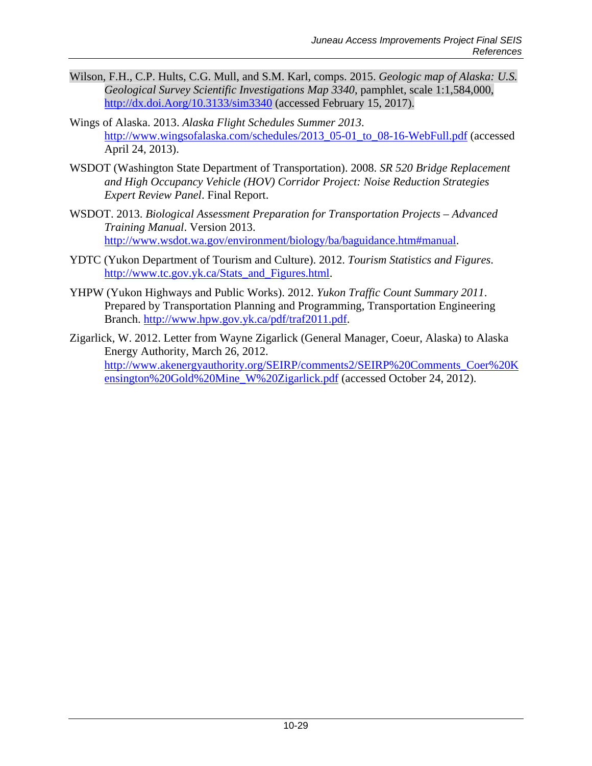- Wilson, F.H., C.P. Hults, C.G. Mull, and S.M. Karl, comps. 2015. *Geologic map of Alaska: U.S. Geological Survey Scientific Investigations Map 3340*, pamphlet, scale 1:1,584,000, [http://dx.doi.Aorg/10.3133/sim3340](http://dx.doi.aorg/10.3133/sim3340) (accessed February 15, 2017).
- Wings of Alaska. 2013. *Alaska Flight Schedules Summer 2013*. [http://www.wingsofalaska.com/schedules/2013\\_05-01\\_to\\_08-16-WebFull.pdf](http://www.wingsofalaska.com/schedules/2013_05-01_to_08-16-WebFull.pdf) (accessed April 24, 2013).
- WSDOT (Washington State Department of Transportation). 2008. *SR 520 Bridge Replacement and High Occupancy Vehicle (HOV) Corridor Project: Noise Reduction Strategies Expert Review Panel*. Final Report.
- WSDOT. 2013. *Biological Assessment Preparation for Transportation Projects – Advanced Training Manual*. Version 2013. [http://www.wsdot.wa.gov/environment/biology/ba/baguidance.htm#manual.](http://www.wsdot.wa.gov/environment/biology/ba/baguidance.htm%23manual)
- YDTC (Yukon Department of Tourism and Culture). 2012. *Tourism Statistics and Figures*. [http://www.tc.gov.yk.ca/Stats\\_and\\_Figures.html.](http://www.tc.gov.yk.ca/Stats_and_Figures.html)
- YHPW (Yukon Highways and Public Works). 2012. *Yukon Traffic Count Summary 2011*. Prepared by Transportation Planning and Programming, Transportation Engineering Branch. [http://www.hpw.gov.yk.ca/pdf/traf2011.pdf.](http://www.hpw.gov.yk.ca/pdf/traf2011.pdf)
- Zigarlick, W. 2012. Letter from Wayne Zigarlick (General Manager, Coeur, Alaska) to Alaska Energy Authority, March 26, 2012. [http://www.akenergyauthority.org/SEIRP/comments2/SEIRP%20Comments\\_Coer%20K](http://www.akenergyauthority.org/SEIRP/comments2/SEIRP%20Comments_Coer%20Kensington%20Gold%20Mine_W%20Zigarlick.pdf) [ensington%20Gold%20Mine\\_W%20Zigarlick.pdf](http://www.akenergyauthority.org/SEIRP/comments2/SEIRP%20Comments_Coer%20Kensington%20Gold%20Mine_W%20Zigarlick.pdf) (accessed October 24, 2012).